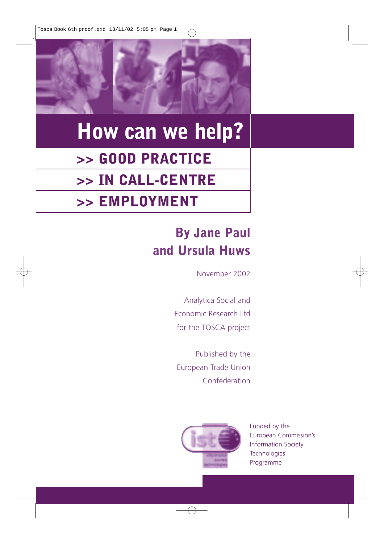Tosca Book 6th proof.qxd 13/11/02 5:05 pm Page 1



# **How can we help? >> GOOD PRACTICE >> IN CALL-CENTRE >> EMPLOYMENT**

# **By Jane Paul and Ursula Huws**

November 2002

Analytica Social and Economic Research Ltd for the TOSCA project

Published by the European Trade Union Confederation



Funded by the European Commission's Information Society **Technologies** Programme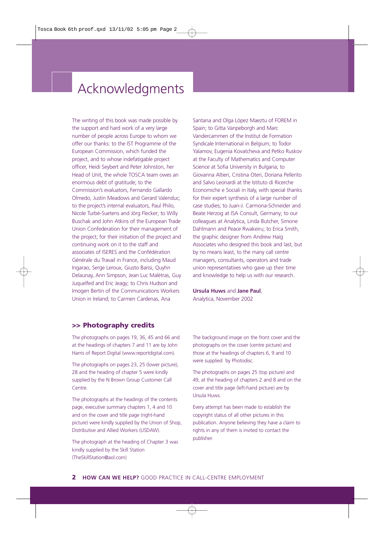## Acknowledgments

The writing of this book was made possible by the support and hard work of a very large number of people across Europe to whom we offer our thanks: to the IST Programme of the European Commission, which funded the project, and to whose indefatigable project officer, Heidi Seybert and Peter Johnston, her Head of Unit, the whole TOSCA team owes an enormous debt of gratitude; to the Commission's evaluators, Fernando Gallardo Olmedo, Justin Meadows and Gerard Valenduc; to the project's internal evaluators, Paul Philo, Nicole Turbé-Suetens and Jörg Flecker; to Willy Buschak and John Atkins of the European Trade Union Confederation for their management of the project; for their initiation of the project and continuing work on it to the staff and associates of ISERES and the Confédération Générale du Travail in France, including Maud Ingarao, Serge Leroux, Giusto Barisi, Quyhn Delaunay, Ann Simpson, Jean Luc Malétras, Guy Juquelfed and Eric Jeagy; to Chris Hudson and Imogen Bertin of the Communications Workers Union in Ireland; to Carmen Cardenas, Ana

Santana and Olga López Maeztu of FOREM in Spain; to Gitta Vanpeborgh and Marc Vandercammen of the Institut de Formation Syndicale International in Belgium; to Todor Yalamov, Eugenia Kovatcheva and Petko Ruskov at the Faculty of Mathematics and Computer Science at Sofia University in Bulgaria; to Giovanna Altieri, Cristina Oteri, Doriana Pellerito and Salvo Leonardi at the Istituto di Ricerche Economiche e Sociali in Italy, with special thanks for their expert synthesis of a large number of case studies; to Juan-J. Carmona-Schneider and Beate Herzog at ISA Consult, Germany; to our colleagues at Analytica, Linda Butcher, Simone Dahlmann and Peace Rwakeiru; to Erica Smith, the graphic designer from Andrew Haig Associates who designed this book and last, but by no means least, to the many call centre managers, consultants, operators and trade union representatives who gave up their time and knowledge to help us with our research.

**Ursula Huws** and **Jane Paul**, Analytica, November 2002

#### **>> Photography credits**

The photographs on pages 19, 36, 45 and 66 and at the headings of chapters 7 and 11 are by John Harris of Report Digital (www.reportdigital.com).

The photographs on pages 23, 25 (lower picture), 28 and the heading of chapter 5 were kindly supplied by the N Brown Group Customer Call Centre.

The photographs at the headings of the contents page, executive summary chapters 1, 4 and 10 and on the cover and title page (right-hand picture) were kindly supplied by the Union of Shop, Distributive and Allied Workers (USDAW).

The photograph at the heading of Chapter 3 was kindly supplied by the Skill Station (TheSkillStation@aol.com)

The background image on the front cover and the photographs on the cover (centre picture) and those at the headings of chapters 6, 9 and 10 were supplied by Photodisc.

The photographs on pages 25 (top picture) and 49, at the heading of chapters 2 and 8 and on the cover and title page (left-hand picture) are by Ursula Huws.

Every attempt has been made to establish the copyright status of all other pictures in this publication. Anyone believing they have a claim to rights in any of them is invited to contact the publisher.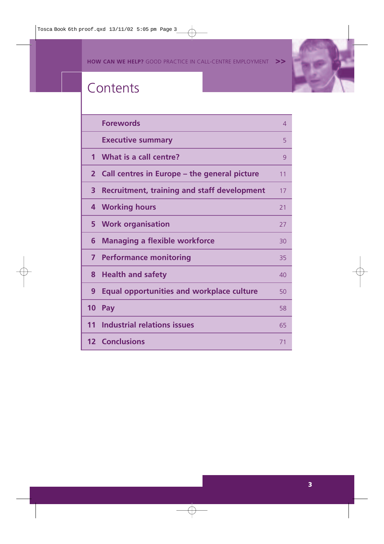**HOW CAN WE HELP?** GOOD PRACTICE IN CALL-CENTRE EMPLOYMENT **>>**

A



# **Contents**

|              | <b>Forewords</b>                                   | 4  |
|--------------|----------------------------------------------------|----|
|              | <b>Executive summary</b>                           | 5  |
| $\mathbf 1$  | What is a call centre?                             | 9  |
| $\mathbf{2}$ | Call centres in Europe – the general picture       | 11 |
| 3            | <b>Recruitment, training and staff development</b> | 17 |
| 4            | <b>Working hours</b>                               | 21 |
| 5            | <b>Work organisation</b>                           | 27 |
| 6            | <b>Managing a flexible workforce</b>               | 30 |
| 7            | <b>Performance monitoring</b>                      | 35 |
| 8            | <b>Health and safety</b>                           | 40 |
| 9            | <b>Equal opportunities and workplace culture</b>   | 50 |
| 10           | Pay                                                | 58 |
| 11           | <b>Industrial relations issues</b>                 | 65 |
|              | <b>12 Conclusions</b>                              | 71 |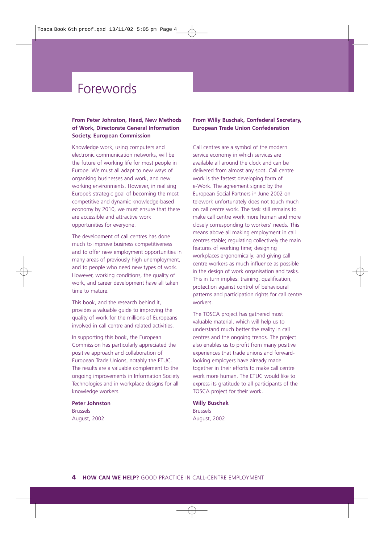## Forewords

#### **From Peter Johnston, Head, New Methods of Work, Directorate General Information Society, European Commission**

Knowledge work, using computers and electronic communication networks, will be the future of working life for most people in Europe. We must all adapt to new ways of organising businesses and work, and new working environments. However, in realising Europe's strategic goal of becoming the most competitive and dynamic knowledge-based economy by 2010, we must ensure that there are accessible and attractive work opportunities for everyone.

The development of call centres has done much to improve business competitiveness and to offer new employment opportunities in many areas of previously high unemployment, and to people who need new types of work. However, working conditions, the quality of work, and career development have all taken time to mature.

This book, and the research behind it, provides a valuable guide to improving the quality of work for the millions of Europeans involved in call centre and related activities.

In supporting this book, the European Commission has particularly appreciated the positive approach and collaboration of European Trade Unions, notably the ETUC. The results are a valuable complement to the ongoing improvements in Information Society Technologies and in workplace designs for all knowledge workers.

**Peter Johnston** Brussels August, 2002

#### **From Willy Buschak, Confederal Secretary, European Trade Union Confederation**

Call centres are a symbol of the modern service economy in which services are available all around the clock and can be delivered from almost any spot. Call centre work is the fastest developing form of e-Work. The agreement signed by the European Social Partners in June 2002 on telework unfortunately does not touch much on call centre work. The task still remains to make call centre work more human and more closely corresponding to workers' needs. This means above all making employment in call centres stable; regulating collectively the main features of working time; designing workplaces ergonomically; and giving call centre workers as much influence as possible in the design of work organisation and tasks. This in turn implies: training, qualification, protection against control of behavioural patterns and participation rights for call centre workers.

The TOSCA project has gathered most valuable material, which will help us to understand much better the reality in call centres and the ongoing trends. The project also enables us to profit from many positive experiences that trade unions and forwardlooking employers have already made together in their efforts to make call centre work more human. The ETUC would like to express its gratitude to all participants of the TOSCA project for their work.

#### **Willy Buschak** Brussels

August, 2002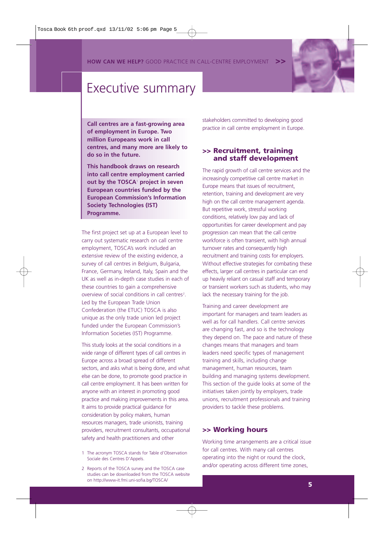**HOW CAN WE HELP?** GOOD PRACTICE IN CALL-CENTRE EMPLOYMENT



### Executive summary

**Call centres are a fast-growing area of employment in Europe. Two million Europeans work in call centres, and many more are likely to do so in the future.** 

**This handbook draws on research into call centre employment carried out by the TOSCA**<sup>1</sup> **project in seven European countries funded by the European Commission's Information Society Technologies (IST) Programme.**

The first project set up at a European level to carry out systematic research on call centre employment, TOSCA's work included an extensive review of the existing evidence, a survey of call centres in Belgium, Bulgaria, France, Germany, Ireland, Italy, Spain and the UK as well as in-depth case studies in each of these countries to gain a comprehensive overview of social conditions in call centres<sup>2</sup>. Led by the European Trade Union Confederation (the ETUC) TOSCA is also unique as the only trade union led project funded under the European Commission's Information Societies (IST) Programme.

This study looks at the social conditions in a wide range of different types of call centres in Europe across a broad spread of different sectors, and asks what is being done, and what else can be done, to promote good practice in call centre employment. It has been written for anyone with an interest in promoting good practice and making improvements in this area. It aims to provide practical guidance for consideration by policy makers, human resources managers, trade unionists, training providers, recruitment consultants, occupational safety and health practitioners and other

- 1 The acronym TOSCA stands for Table d'Observation Sociale des Centres D'Appels.
- 2 Reports of the TOSCA survey and the TOSCA case studies can be downloaded from the TOSCA website on http://www-it.fmi.uni-sofia.bg/TOSCA/

stakeholders committed to developing good practice in call centre employment in Europe.

#### **>> Recruitment, training and staff development**

The rapid growth of call centre services and the increasingly competitive call centre market in Europe means that issues of recruitment, retention, training and development are very high on the call centre management agenda. But repetitive work, stressful working conditions, relatively low pay and lack of opportunities for career development and pay progression can mean that the call centre workforce is often transient, with high annual turnover rates and consequently high recruitment and training costs for employers. Without effective strategies for combating these effects, larger call centres in particular can end up heavily reliant on casual staff and temporary or transient workers such as students, who may lack the necessary training for the job.

Training and career development are important for managers and team leaders as well as for call handlers. Call centre services are changing fast, and so is the technology they depend on. The pace and nature of these changes means that managers and team leaders need specific types of management training and skills, including change management, human resources, team building and managing systems development. This section of the guide looks at some of the initiatives taken jointly by employers, trade unions, recruitment professionals and training providers to tackle these problems.

#### **>> Working hours**

Working time arrangements are a critical issue for call centres. With many call centres operating into the night or round the clock, and/or operating across different time zones,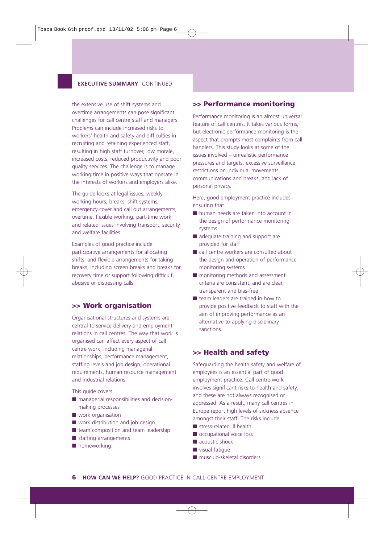#### **EXECUTIVE SUMMARY CONTINUED**

the extensive use of shift systems and overtime arrangements can pose significant challenges for call centre staff and managers. Problems can include increased risks to workers' health and safety and difficulties in recruiting and retaining experienced staff, resulting in high staff turnover, low morale, increased costs, reduced productivity and poor quality services. The challenge is to manage working time in positive ways that operate in the interests of workers and employers alike.

The guide looks at legal issues, weekly working hours, breaks, shift systems, emergency cover and call out arrangements, overtime, flexible working, part-time work and related issues involving transport, security and welfare facilities.

Examples of good practice include participative arrangements for allocating shifts, and flexible arrangements for taking breaks, including screen breaks and breaks for recovery time or support following difficult, abusive or distressing calls.

#### **>> Work organisation**

Organisational structures and systems are central to service delivery and employment relations in call centres. The way that work is organised can affect every aspect of call centre work, including managerial relationships, performance management, staffing levels and job design, operational requirements, human resource management and industrial relations.

This guide covers

- managerial responsibilities and decisionmaking processes
- work organisation
- work distribution and job design
- team composition and team leadership
- staffing arrangements
- homeworking.

#### **>> Performance monitoring**

Performance monitoring is an almost universal feature of call centres. It takes various forms, but electronic performance monitoring is the aspect that prompts most complaints from call handlers. This study looks at some of the issues involved – unrealistic performance pressures and targets, excessive surveillance, restrictions on individual movements, communications and breaks, and lack of personal privacy.

Here, good employment practice includes ensuring that

- human needs are taken into account in the design of performance monitoring systems
- adequate training and support are provided for staff
- call centre workers are consulted about the design and operation of performance monitoring systems
- monitoring methods and assessment criteria are consistent, and are clear, transparent and bias-free
- team leaders are trained in how to provide positive feedback to staff with the aim of improving performance as an alternative to applying disciplinary sanctions.

#### **>> Health and safety**

Safeguarding the health safety and welfare of employees is an essential part of good employment practice. Call centre work involves significant risks to health and safety, and these are not always recognised or addressed. As a result, many call centres in Europe report high levels of sickness absence amongst their staff. The risks include

- stress-related ill health
- occupational voice loss
- acoustic shock
- visual fatique
- musculo-skeletal disorders

**6 HOW CAN WE HELP?** GOOD PRACTICE IN CALL-CENTRE EMPLOYMENT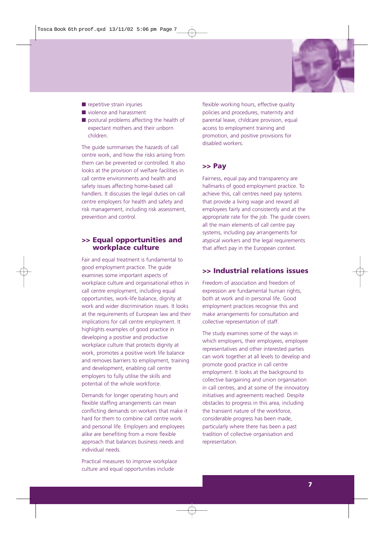

- repetitive strain injuries
- violence and harassment
- postural problems affecting the health of expectant mothers and their unborn children.

The guide summarises the hazards of call centre work, and how the risks arising from them can be prevented or controlled. It also looks at the provision of welfare facilities in call centre environments and health and safety issues affecting home-based call handlers. It discusses the legal duties on call centre employers for health and safety and risk management, including risk assessment, prevention and control.

#### **>> Equal opportunities and workplace culture**

Fair and equal treatment is fundamental to good employment practice. The guide examines some important aspects of workplace culture and organisational ethos in call centre employment, including equal opportunities, work-life balance, dignity at work and wider discrimination issues. It looks at the requirements of European law and their implications for call centre employment. It highlights examples of good practice in developing a positive and productive workplace culture that protects dignity at work, promotes a positive work life balance and removes barriers to employment, training and development, enabling call centre employers to fully utilise the skills and potential of the whole workforce.

Demands for longer operating hours and flexible staffing arrangements can mean conflicting demands on workers that make it hard for them to combine call centre work and personal life. Employers and employees alike are benefiting from a more flexible approach that balances business needs and individual needs.

Practical measures to improve workplace culture and equal opportunities include

flexible working hours, effective quality policies and procedures, maternity and parental leave, childcare provision, equal access to employment training and promotion, and positive provisions for disabled workers.

### **>> Pay**

Fairness, equal pay and transparency are hallmarks of good employment practice. To achieve this, call centres need pay systems that provide a living wage and reward all employees fairly and consistently and at the appropriate rate for the job. The guide covers all the main elements of call centre pay systems, including pay arrangements for atypical workers and the legal requirements that affect pay in the European context.

#### **>> Industrial relations issues**

Freedom of association and freedom of expression are fundamental human rights, both at work and in personal life. Good employment practices recognise this and make arrangements for consultation and collective representation of staff.

The study examines some of the ways in which employers, their employees, employee representatives and other interested parties can work together at all levels to develop and promote good practice in call centre employment. It looks at the background to collective bargaining and union organisation in call centres, and at some of the innovatory initiatives and agreements reached. Despite obstacles to progress in this area, including the transient nature of the workforce, considerable progress has been made, particularly where there has been a past tradition of collective organisation and representation.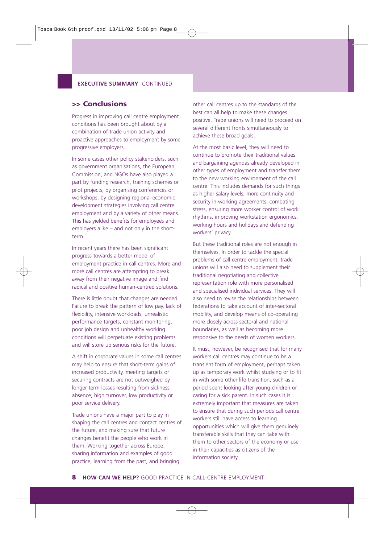#### **EXECUTIVE SUMMARY CONTINUED**

#### **>> Conclusions**

Progress in improving call centre employment conditions has been brought about by a combination of trade union activity and proactive approaches to employment by some progressive employers.

In some cases other policy stakeholders, such as government organisations, the European Commission, and NGOs have also played a part by funding research, training schemes or pilot projects, by organising conferences or workshops, by designing regional economic development strategies involving call centre employment and by a variety of other means. This has yielded benefits for employees and employers alike – and not only in the shortterm.

In recent years there has been significant progress towards a better model of employment practice in call centres. More and more call centres are attempting to break away from their negative image and find radical and positive human-centred solutions.

There is little doubt that changes are needed. Failure to break the pattern of low pay, lack of flexibility, intensive workloads, unrealistic performance targets, constant monitoring, poor job design and unhealthy working conditions will perpetuate existing problems and will store up serious risks for the future.

A shift in corporate values in some call centres may help to ensure that short-term gains of increased productivity, meeting targets or securing contracts are not outweighed by longer term losses resulting from sickness absence, high turnover, low productivity or poor service delivery.

Trade unions have a major part to play in shaping the call centres and contact centres of the future, and making sure that future changes benefit the people who work in them. Working together across Europe, sharing information and examples of good practice, learning from the past, and bringing

other call centres up to the standards of the best can all help to make these changes positive. Trade unions will need to proceed on several different fronts simultaneously to achieve these broad goals.

At the most basic level, they will need to continue to promote their traditional values and bargaining agendas already developed in other types of employment and transfer them to the new working environment of the call centre. This includes demands for such things as higher salary levels, more continuity and security in working agreements, combating stress, ensuring more worker control of work rhythms, improving workstation ergonomics, working hours and holidays and defending workers' privacy.

But these traditional roles are not enough in themselves. In order to tackle the special problems of call centre employment, trade unions will also need to supplement their traditional negotiating and collective representation role with more personalised and specialised individual services. They will also need to revise the relationships between federations to take account of inter-sectoral mobility, and develop means of co-operating more closely across sectoral and national boundaries, as well as becoming more responsive to the needs of women workers.

It must, however, be recognised that for many workers call centres may continue to be a transient form of employment, perhaps taken up as temporary work whilst studying or to fit in with some other life transition, such as a period spent looking after young children or caring for a sick parent. In such cases it is extremely important that measures are taken to ensure that during such periods call centre workers still have access to learning opportunities which will give them genuinely transferable skills that they can take with them to other sectors of the economy or use in their capacities as citizens of the information society.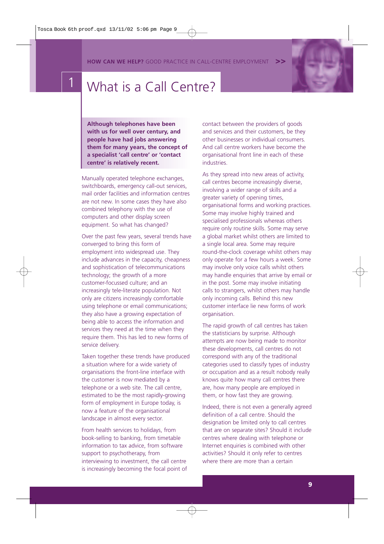**HOW CAN WE HELP?** GOOD PRACTICE IN CALL-CENTRE EMPLOYMENT



## What is a Call Centre?

**Although telephones have been with us for well over century, and people have had jobs answering them for many years, the concept of a specialist 'call centre' or 'contact centre' is relatively recent.**

Manually operated telephone exchanges, switchboards, emergency call-out services, mail order facilities and information centres are not new. In some cases they have also combined telephony with the use of computers and other display screen equipment. So what has changed?

Over the past few years, several trends have converged to bring this form of employment into widespread use. They include advances in the capacity, cheapness and sophistication of telecommunications technology; the growth of a more customer-focussed culture; and an increasingly tele-literate population. Not only are citizens increasingly comfortable using telephone or email communications; they also have a growing expectation of being able to access the information and services they need at the time when they require them. This has led to new forms of service delivery.

Taken together these trends have produced a situation where for a wide variety of organisations the front-line interface with the customer is now mediated by a telephone or a web site. The call centre, estimated to be the most rapidly-growing form of employment in Europe today, is now a feature of the organisational landscape in almost every sector.

From health services to holidays, from book-selling to banking, from timetable information to tax advice, from software support to psychotherapy, from interviewing to investment, the call centre is increasingly becoming the focal point of contact between the providers of goods and services and their customers, be they other businesses or individual consumers. And call centre workers have become the organisational front line in each of these industries.

As they spread into new areas of activity, call centres become increasingly diverse, involving a wider range of skills and a greater variety of opening times, organisational forms and working practices. Some may involve highly trained and specialised professionals whereas others require only routine skills. Some may serve a global market whilst others are limited to a single local area. Some may require round-the-clock coverage whilst others may only operate for a few hours a week. Some may involve only voice calls whilst others may handle enquiries that arrive by email or in the post. Some may involve initiating calls to strangers, whilst others may handle only incoming calls. Behind this new customer interface lie new forms of work organisation.

The rapid growth of call centres has taken the statisticians by surprise. Although attempts are now being made to monitor these developments, call centres do not correspond with any of the traditional categories used to classify types of industry or occupation and as a result nobody really knows quite how many call centres there are, how many people are employed in them, or how fast they are growing.

Indeed, there is not even a generally agreed definition of a call centre. Should the designation be limited only to call centres that are on separate sites? Should it include centres where dealing with telephone or Internet enquiries is combined with other activities? Should it only refer to centres where there are more than a certain

**9**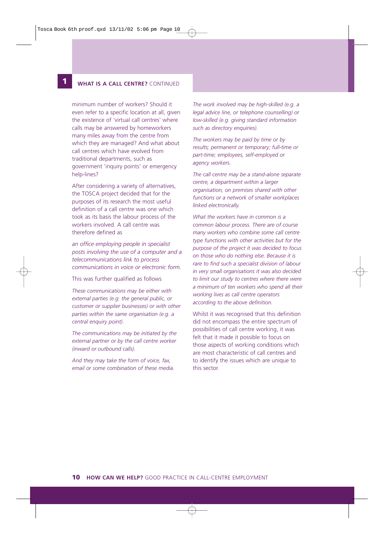**12**

#### **1 WHAT IS A CALL CENTRE?** CONTINUED

minimum number of workers? Should it even refer to a specific location at all, given the existence of 'virtual call centres' where calls may be answered by homeworkers many miles away from the centre from which they are managed? And what about call centres which have evolved from traditional departments, such as government 'inquiry points' or emergency help-lines?

After considering a variety of alternatives, the TOSCA project decided that for the purposes of its research the most useful definition of a call centre was one which took as its basis the labour process of the workers involved. A call centre was therefore defined as

*an office employing people in specialist posts involving the use of a computer and a telecommunications link to process communications in voice or electronic form.* 

This was further qualified as follows

*These communications may be either with external parties (e.g. the general public, or customer or supplier businesses) or with other parties within the same organisation (e.g. a central enquiry point).* 

*The communications may be initiated by the external partner or by the call centre worker (inward or outbound calls).* 

*And they may take the form of voice, fax, email or some combination of these media.* 

*The work involved may be high-skilled (e.g. a legal advice line, or telephone counselling) or low-skilled (e.g. giving standard information such as directory enquiries).* 

*The workers may be paid by time or by results; permanent or temporary; full-time or part-time; employees, self-employed or agency workers.*

*The call centre may be a stand-alone separate centre, a department within a larger organisation, on premises shared with other functions or a network of smaller workplaces linked electronically.* 

*What the workers have in common is a common labour process. There are of course many workers who combine some call centre type functions with other activities but for the purpose of the project it was decided to focus on those who do nothing else. Because it is rare to find such a specialist division of labour in very small organisations it was also decided to limit our study to centres where there were a minimum of ten workers who spend all their working lives as call centre operators according to the above definition.*

Whilst it was recognised that this definition did not encompass the entire spectrum of possibilities of call centre working, it was felt that it made it possible to focus on those aspects of working conditions which are most characteristic of call centres and to identify the issues which are unique to this sector.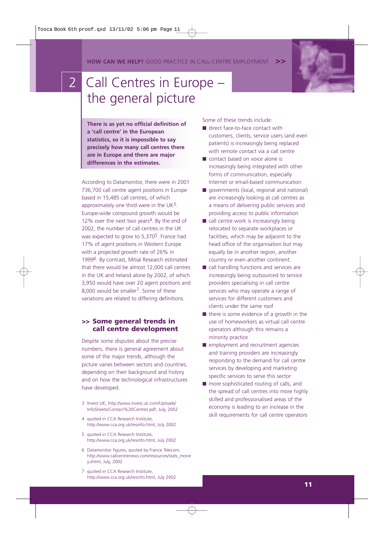**HOW CAN WE HELP?** GOOD PRACTICE IN CALL-CENTRE EMPLOYMENT

# 2 Call Centres in Europe the general picture

**There is as yet no official definition of a 'call centre' in the European statistics, so it is impossible to say precisely how many call centres there are in Europe and there are major differences in the estimates.** 

According to Datamonitor, there were in 2001 736,700 call centre agent positions in Europe based in 15,485 call centres, of which approximately one third were in the UK3. Europe-wide compound growth would be 12% over the next two years<sup>4</sup>. By the end of 2002, the number of call centres in the UK was expected to grow to 5,3705. France had 17% of agent positions in Western Europe with a projected growth rate of 26% in 19996. By contrast, Mitial Research estimated that there would be almost 12,000 call centres in the UK and Ireland alone by 2002, of which 3,950 would have over 20 agent positions and 8,000 would be smaller<sup>7</sup>. Some of these variations are related to differing definitions.

#### **>> Some general trends in call centre development**

Despite some disputes about the precise numbers, there is general agreement about some of the major trends, although the picture varies between sectors and countries, depending on their background and history and on how the technological infrastructures have developed.

- 3 Invest UK, http://www.invest.uk.com/Uploads/ InfoSheets/Contact%20Centres.pdf, July, 2002
- 4 quoted in CCA Research Institute, http://www.cca.org.uk/resinfo.html, July 2002
- 5 quoted in CCA Research Institute, http://www.cca.org.uk/resinfo.html, July 2002
- 6 Datamonitor figures, quoted by France Telecom, http://www.callcentrenews.com/resources/stats\_mone y.shtml, July, 2002
- 7 quoted in CCA Research Institute, http://www.cca.org.uk/resinfo.html, July 2002

Some of these trends include:

- direct face-to-face contact with customers, clients, service users (and even patients) is increasingly being replaced with remote contact via a call centre
- contact based on voice alone is increasingly being integrated with other forms of communication, especially Internet or email-based communication
- governments (local, regional and national) are increasingly looking at call centres as a means of delivering public services and providing access to public information
- call centre work is increasingly being relocated to separate workplaces or facilities, which may be adjacent to the head office of the organisation but may equally be in another region, another country or even another continent.
- call handling functions and services are increasingly being outsourced to service providers specialising in call centre services who may operate a range of services for different customers and clients under the same roof
- there is some evidence of a growth in the use of homeworkers as virtual call centre operators although this remains a minority practice
- employment and recruitment agencies and training providers are increasingly responding to the demand for call centre services by developing and marketing specific services to serve this sector
- more sophisticated routing of calls, and the spread of call centres into more highly skilled and professionalised areas of the economy is leading to an increase in the skill requirements for call centre operators



**11**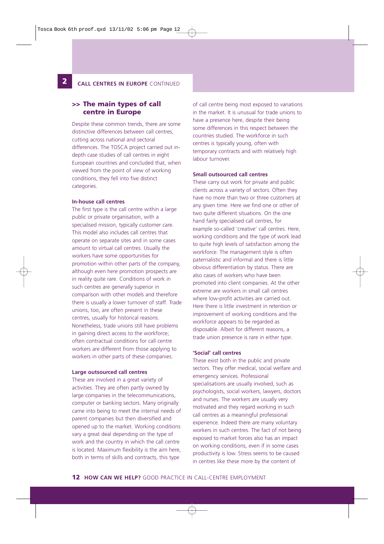#### **2 CALL CENTRES IN EUROPE** CONTINUED

#### **>> The main types of call centre in Europe**

Despite these common trends, there are some distinctive differences between call centres, cutting across national and sectoral differences. The TOSCA project carried out indepth case studies of call centres in eight European countries and concluded that, when viewed from the point of view of working conditions, they fell into five distinct categories.

#### **In-house call centres**

**12**

The first type is the call centre within a large public or private organisation, with a specialised mission, typically customer care. This model also includes call centres that operate on separate sites and in some cases amount to virtual call centres. Usually the workers have some opportunities for promotion within other parts of the company, although even here promotion prospects are in reality quite rare. Conditions of work in such centres are generally superior in comparison with other models and therefore there is usually a lower turnover of staff. Trade unions, too, are often present in these centres, usually for historical reasons. Nonetheless, trade unions still have problems in gaining direct access to the workforce; often contractual conditions for call centre workers are different from those applying to workers in other parts of these companies.

#### **Large outsourced call centres**

These are involved in a great variety of activities. They are often partly owned by large companies in the telecommunications, computer or banking sectors. Many originally came into being to meet the internal needs of parent companies but then diversified and opened up to the market. Working conditions vary a great deal depending on the type of work and the country in which the call centre is located. Maximum flexibility is the aim here, both in terms of skills and contracts, this type

of call centre being most exposed to variations in the market. It is unusual for trade unions to have a presence here, despite their being some differences in this respect between the countries studied. The workforce in such centres is typically young, often with temporary contracts and with relatively high labour turnover.

#### **Small outsourced call centres**

These carry out work for private and public clients across a variety of sectors. Often they have no more than two or three customers at any given time. Here we find one or other of two quite different situations. On the one hand fairly specialised call centres, for example so-called 'creative' call centres. Here, working conditions and the type of work lead to quite high levels of satisfaction among the workforce. The management style is often paternalistic and informal and there is little obvious differentiation by status. There are also cases of workers who have been promoted into client companies. At the other extreme are workers in small call centres where low-profit activities are carried out. Here there is little investment in retention or improvement of working conditions and the workforce appears to be regarded as disposable. Albeit for different reasons, a trade union presence is rare in either type.

#### **'Social' call centres**

These exist both in the public and private sectors. They offer medical, social welfare and emergency services. Professional specialisations are usually involved, such as psychologists, social workers, lawyers, doctors and nurses. The workers are usually very motivated and they regard working in such call centres as a meaningful professional experience. Indeed there are many voluntary workers in such centres. The fact of not being exposed to market forces also has an impact on working conditions, even if in some cases productivity is low. Stress seems to be caused in centres like these more by the content of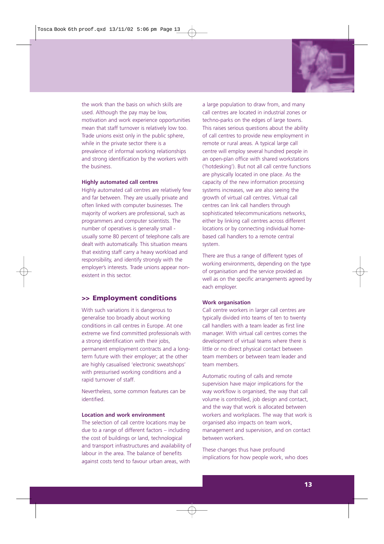

the work than the basis on which skills are used. Although the pay may be low, motivation and work experience opportunities mean that staff turnover is relatively low too. Trade unions exist only in the public sphere, while in the private sector there is a prevalence of informal working relationships and strong identification by the workers with the business.

#### **Highly automated call centres**

Highly automated call centres are relatively few and far between. They are usually private and often linked with computer businesses. The majority of workers are professional, such as programmers and computer scientists. The number of operatives is generally small usually some 80 percent of telephone calls are dealt with automatically. This situation means that existing staff carry a heavy workload and responsibility, and identify strongly with the employer's interests. Trade unions appear nonexistent in this sector.

#### **>> Employment conditions**

With such variations it is dangerous to generalise too broadly about working conditions in call centres in Europe. At one extreme we find committed professionals with a strong identification with their jobs, permanent employment contracts and a longterm future with their employer; at the other are highly casualised 'electronic sweatshops' with pressurised working conditions and a rapid turnover of staff.

Nevertheless, some common features can be identified.

#### **Location and work environment**

The selection of call centre locations may be due to a range of different factors – including the cost of buildings or land, technological and transport infrastructures and availability of labour in the area. The balance of benefits against costs tend to favour urban areas, with

a large population to draw from, and many call centres are located in industrial zones or techno-parks on the edges of large towns. This raises serious questions about the ability of call centres to provide new employment in remote or rural areas. A typical large call centre will employ several hundred people in an open-plan office with shared workstations ('hotdesking'). But not all call centre functions are physically located in one place. As the capacity of the new information processing systems increases, we are also seeing the growth of virtual call centres. Virtual call centres can link call handlers through sophisticated telecommunications networks, either by linking call centres across different locations or by connecting individual homebased call handlers to a remote central system.

There are thus a range of different types of working environments, depending on the type of organisation and the service provided as well as on the specific arrangements agreed by each employer.

#### **Work organisation**

Call centre workers in larger call centres are typically divided into teams of ten to twenty call handlers with a team leader as first line manager. With virtual call centres comes the development of virtual teams where there is little or no direct physical contact between team members or between team leader and team members.

Automatic routing of calls and remote supervision have major implications for the way workflow is organised, the way that call volume is controlled, job design and contact, and the way that work is allocated between workers and workplaces. The way that work is organised also impacts on team work, management and supervision, and on contact between workers.

These changes thus have profound implications for how people work, who does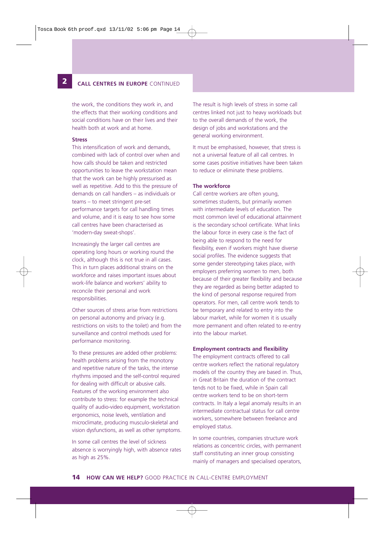### **122 CALL CENTRES IN EUROPE** CONTINUED

the work, the conditions they work in, and the effects that their working conditions and social conditions have on their lives and their health both at work and at home.

#### **Stress**

This intensification of work and demands, combined with lack of control over when and how calls should be taken and restricted opportunities to leave the workstation mean that the work can be highly pressurised as well as repetitive. Add to this the pressure of demands on call handlers – as individuals or teams – to meet stringent pre-set performance targets for call handling times and volume, and it is easy to see how some call centres have been characterised as 'modern-day sweat-shops'.

Increasingly the larger call centres are operating long hours or working round the clock, although this is not true in all cases. This in turn places additional strains on the workforce and raises important issues about work-life balance and workers' ability to reconcile their personal and work responsibilities.

Other sources of stress arise from restrictions on personal autonomy and privacy (e.g. restrictions on visits to the toilet) and from the surveillance and control methods used for performance monitoring.

To these pressures are added other problems: health problems arising from the monotony and repetitive nature of the tasks, the intense rhythms imposed and the self-control required for dealing with difficult or abusive calls. Features of the working environment also contribute to stress: for example the technical quality of audio-video equipment, workstation ergonomics, noise levels, ventilation and microclimate, producing musculo-skeletal and vision dysfunctions, as well as other symptoms.

In some call centres the level of sickness absence is worryingly high, with absence rates as high as 25%.

The result is high levels of stress in some call centres linked not just to heavy workloads but to the overall demands of the work, the design of jobs and workstations and the general working environment.

It must be emphasised, however, that stress is not a universal feature of all call centres. In some cases positive initiatives have been taken to reduce or eliminate these problems.

#### **The workforce**

Call centre workers are often young, sometimes students, but primarily women with intermediate levels of education. The most common level of educational attainment is the secondary school certificate. What links the labour force in every case is the fact of being able to respond to the need for flexibility, even if workers might have diverse social profiles. The evidence suggests that some gender stereotyping takes place, with employers preferring women to men, both because of their greater flexibility and because they are regarded as being better adapted to the kind of personal response required from operators. For men, call centre work tends to be temporary and related to entry into the labour market, while for women it is usually more permanent and often related to re-entry into the labour market.

#### **Employment contracts and flexibility**

The employment contracts offered to call centre workers reflect the national regulatory models of the country they are based in. Thus, in Great Britain the duration of the contract tends not to be fixed, while in Spain call centre workers tend to be on short-term contracts. In Italy a legal anomaly results in an intermediate contractual status for call centre workers, somewhere between freelance and employed status.

In some countries, companies structure work relations as concentric circles, with permanent staff constituting an inner group consisting mainly of managers and specialised operators,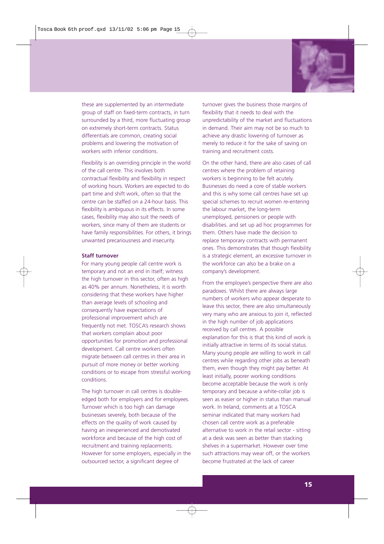

these are supplemented by an intermediate group of staff on fixed-term contracts, in turn surrounded by a third, more fluctuating group on extremely short-term contracts. Status differentials are common, creating social problems and lowering the motivation of workers with inferior conditions.

Flexibility is an overriding principle in the world of the call centre. This involves both contractual flexibility and flexibility in respect of working hours. Workers are expected to do part time and shift work, often so that the centre can be staffed on a 24-hour basis. This flexibility is ambiguous in its effects. In some cases, flexibility may also suit the needs of workers, since many of them are students or have family responsibilities. For others, it brings unwanted precariousness and insecurity.

#### **Staff turnover**

For many young people call centre work is temporary and not an end in itself; witness the high turnover in this sector, often as high as 40% per annum. Nonetheless, it is worth considering that these workers have higher than average levels of schooling and consequently have expectations of professional improvement which are frequently not met. TOSCA's research shows that workers complain about poor opportunities for promotion and professional development. Call centre workers often migrate between call centres in their area in pursuit of more money or better working conditions or to escape from stressful working conditions.

The high turnover in call centres is doubleedged both for employers and for employees. Turnover which is too high can damage businesses severely, both because of the effects on the quality of work caused by having an inexperienced and demotivated workforce and because of the high cost of recruitment and training replacements. However for some employers, especially in the outsourced sector, a significant degree of

turnover gives the business those margins of flexibility that it needs to deal with the unpredictability of the market and fluctuations in demand. Their aim may not be so much to achieve any drastic lowering of turnover as merely to reduce it for the sake of saving on training and recruitment costs.

On the other hand, there are also cases of call centres where the problem of retaining workers is beginning to be felt acutely. Businesses do need a core of stable workers and this is why some call centres have set up special schemes to recruit women re-entering the labour market, the long-term unemployed, pensioners or people with disabilities. and set up ad hoc programmes for them. Others have made the decision to replace temporary contracts with permanent ones. This demonstrates that though flexibility is a strategic element, an excessive turnover in the workforce can also be a brake on a company's development.

From the employee's perspective there are also paradoxes. Whilst there are always large numbers of workers who appear desperate to leave this sector, there are also simultaneously very many who are anxious to join it, reflected in the high number of job applications received by call centres. A possible explanation for this is that this kind of work is initially attractive in terms of its social status. Many young people are willing to work in call centres while regarding other jobs as beneath them, even though they might pay better. At least initially, poorer working conditions become acceptable because the work is only temporary and because a white-collar job is seen as easier or higher in status than manual work. In Ireland, comments at a TOSCA seminar indicated that many workers had chosen call centre work as a preferable alternative to work in the retail sector - sitting at a desk was seen as better than stacking shelves in a supermarket. However over time such attractions may wear off, or the workers become frustrated at the lack of career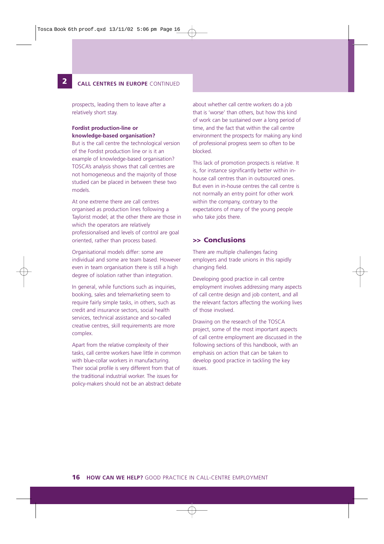#### **2 CALL CENTRES IN EUROPE** CONTINUED

prospects, leading them to leave after a relatively short stay.

#### **Fordist production-line or knowledge-based organisation?**

**12**

But is the call centre the technological version of the Fordist production line or is it an example of knowledge-based organisation? TOSCA's analysis shows that call centres are not homogeneous and the majority of those studied can be placed in between these two models.

At one extreme there are call centres organised as production lines following a Taylorist model; at the other there are those in which the operators are relatively professionalised and levels of control are goal oriented, rather than process based.

Organisational models differ: some are individual and some are team based. However even in team organisation there is still a high degree of isolation rather than integration.

In general, while functions such as inquiries, booking, sales and telemarketing seem to require fairly simple tasks, in others, such as credit and insurance sectors, social health services, technical assistance and so-called creative centres, skill requirements are more complex.

Apart from the relative complexity of their tasks, call centre workers have little in common with blue-collar workers in manufacturing. Their social profile is very different from that of the traditional industrial worker. The issues for policy-makers should not be an abstract debate

about whether call centre workers do a job that is 'worse' than others, but how this kind of work can be sustained over a long period of time, and the fact that within the call centre environment the prospects for making any kind of professional progress seem so often to be blocked.

This lack of promotion prospects is relative. It is, for instance significantly better within inhouse call centres than in outsourced ones. But even in in-house centres the call centre is not normally an entry point for other work within the company, contrary to the expectations of many of the young people who take jobs there.

#### **>> Conclusions**

There are multiple challenges facing employers and trade unions in this rapidly changing field.

Developing good practice in call centre employment involves addressing many aspects of call centre design and job content, and all the relevant factors affecting the working lives of those involved.

Drawing on the research of the TOSCA project, some of the most important aspects of call centre employment are discussed in the following sections of this handbook, with an emphasis on action that can be taken to develop good practice in tackling the key issues.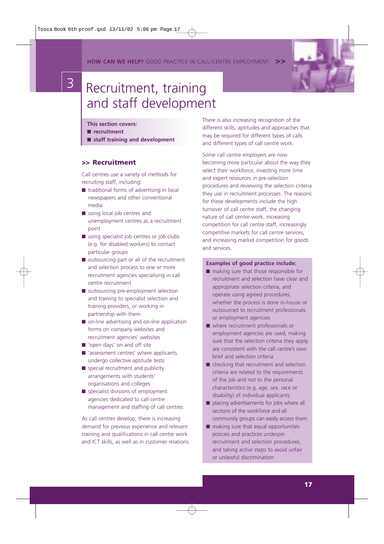**HOW CAN WE HELP?** GOOD PRACTICE IN CALL-CENTRE EMPLOYMENT **>>**



# 3 Recruitment, training and staff development

- **This section covers:**
- **recruitment**
- **staff training and development**

#### **>> Recruitment**

Call centres use a variety of methods for recruiting staff, including:

- traditional forms of advertising in local newspapers and other conventional media
- using local job centres and unemployment centres as a recruitment point
- using specialist job centres or job clubs (e.g. for disabled workers) to contact particular groups
- outsourcing part or all of the recruitment and selection process to one or more recruitment agencies specialising in call centre recruitment
- outsourcing pre-employment selection and training to specialist selection and training providers, or working in partnership with them
- on-line advertising and on-line application forms on company websites and recruitment agencies' websites
- 'open days' on and off site
- 'assessment centres' where applicants undergo collective aptitude tests
- special recruitment and publicity arrangements with students' organisations and colleges
- specialist divisions of employment agencies dedicated to call centre management and staffing of call centres

As call centres develop, there is increasing demand for previous experience and relevant training and qualifications in call centre work and ICT skills, as well as in customer relations. There is also increasing recognition of the different skills, aptitudes and approaches that may be required for different types of calls and different types of call centre work.

Some call centre employers are now becoming more particular about the way they select their workforce, investing more time and expert resources in pre-selection procedures and reviewing the selection criteria they use in recruitment processes. The reasons for these developments include the high turnover of call centre staff, the changing nature of call centre work, increasing competition for call centre staff, increasingly competitive markets for call centre services, and increasing market competition for goods and services.

#### **Examples of good practice include:**

- making sure that those responsible for recruitment and selection have clear and appropriate selection criteria, and operate using agreed procedures, whether the process is done in-house or outsourced to recruitment professionals or employment agencies
- where recruitment professionals or employment agencies are used, making sure that the selection criteria they apply are consistent with the call centre's own brief and selection criteria
- checking that recruitment and selection criteria are related to the requirements of the job and not to the personal characteristics (e.g. age, sex, race or disability) of individual applicants
- placing advertisements for jobs where all sections of the workforce and all community groups can easily access them
- making sure that equal opportunities policies and practices underpin recruitment and selection procedures, and taking active steps to avoid unfair or unlawful discrimination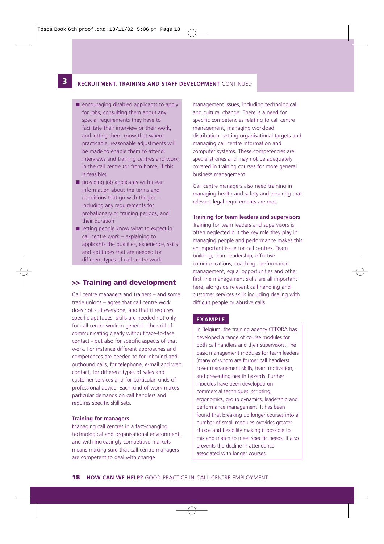### **13 RECRUITMENT, TRAINING AND STAFF DEVELOPMENT** CONTINUED

- encouraging disabled applicants to apply for jobs, consulting them about any special requirements they have to facilitate their interview or their work, and letting them know that where practicable, reasonable adjustments will be made to enable them to attend interviews and training centres and work in the call centre (or from home, if this is feasible)
- $\blacksquare$  providing job applicants with clear information about the terms and conditions that go with the job – including any requirements for probationary or training periods, and their duration
- letting people know what to expect in call centre work – explaining to applicants the qualities, experience, skills and aptitudes that are needed for different types of call centre work

#### **>> Training and development**

Call centre managers and trainers – and some trade unions – agree that call centre work does not suit everyone, and that it requires specific aptitudes. Skills are needed not only for call centre work in general - the skill of communicating clearly without face-to-face contact - but also for specific aspects of that work. For instance different approaches and competences are needed to for inbound and outbound calls, for telephone, e-mail and web contact, for different types of sales and customer services and for particular kinds of professional advice. Each kind of work makes particular demands on call handlers and requires specific skill sets.

#### **Training for managers**

Managing call centres in a fast-changing technological and organisational environment, and with increasingly competitive markets means making sure that call centre managers are competent to deal with change

management issues, including technological and cultural change. There is a need for specific competencies relating to call centre management, managing workload distribution, setting organisational targets and managing call centre information and computer systems. These competencies are specialist ones and may not be adequately covered in training courses for more general business management.

Call centre managers also need training in managing health and safety and ensuring that relevant legal requirements are met.

#### **Training for team leaders and supervisors**

Training for team leaders and supervisors is often neglected but the key role they play in managing people and performance makes this an important issue for call centres. Team building, team leadership, effective communications, coaching, performance management, equal opportunities and other first line management skills are all important here, alongside relevant call handling and customer services skills including dealing with difficult people or abusive calls.

#### **EXAMPLE**

In Belgium, the training agency CEFORA has developed a range of course modules for both call handlers and their supervisors. The basic management modules for team leaders (many of whom are former call handlers) cover management skills, team motivation, and preventing health hazards. Further modules have been developed on commercial techniques, scripting, ergonomics, group dynamics, leadership and performance management. It has been found that breaking up longer courses into a number of small modules provides greater choice and flexibility making it possible to mix and match to meet specific needs. It also prevents the decline in attendance associated with longer courses.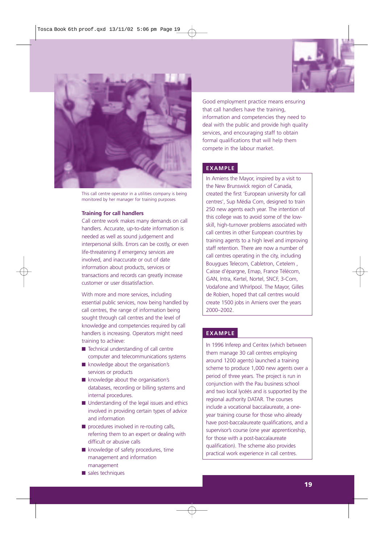



This call centre operator in a utilities company is being monitored by her manager for training purposes

#### **Training for call handlers**

Call centre work makes many demands on call handlers. Accurate, up-to-date information is needed as well as sound judgement and interpersonal skills. Errors can be costly, or even life-threatening if emergency services are involved, and inaccurate or out of date information about products, services or transactions and records can greatly increase customer or user dissatisfaction.

With more and more services, including essential public services, now being handled by call centres, the range of information being sought through call centres and the level of knowledge and competencies required by call handlers is increasing. Operators might need training to achieve:

- Technical understanding of call centre computer and telecommunications systems
- knowledge about the organisation's services or products
- knowledge about the organisation's databases, recording or billing systems and internal procedures.
- Understanding of the legal issues and ethics involved in providing certain types of advice and information
- procedures involved in re-routing calls, referring them to an expert or dealing with difficult or abusive calls
- knowledge of safety procedures, time management and information management
- sales techniques

Good employment practice means ensuring that call handlers have the training, information and competencies they need to deal with the public and provide high quality services, and encouraging staff to obtain formal qualifications that will help them compete in the labour market.

#### **EXAMPLE**

In Amiens the Mayor, inspired by a visit to the New Brunswick region of Canada, created the first 'European university for call centres', Sup Média Com, designed to train 250 new agents each year. The intention of this college was to avoid some of the lowskill, high-turnover problems associated with call centres in other European countries by training agents to a high level and improving staff retention. There are now a number of call centres operating in the city, including Bouygues Telecom, Cabletron, Cetelem , Caisse d'épargne, Emap, France Télécom, GAN, Intra, Kertel, Nortel, SNCF, 3-Com, Vodafone and Whirlpool. The Mayor, Gilles de Robien, hoped that call centres would create 1500 jobs in Amiens over the years 2000–2002.

#### **EXAMPLE**

In 1996 Inferep and Ceritex (which between them manage 30 call centres employing around 1200 agents) launched a training scheme to produce 1,000 new agents over a period of three years. The project is run in conjunction with the Pau business school and two local lycéés and is supported by the regional authority DATAR. The courses include a vocational baccalaureate, a oneyear training course for those who already have post-baccalaureate qualifications, and a supervisor's course (one year apprenticeship, for those with a post-baccalaureate qualification). The scheme also provides practical work experience in call centres.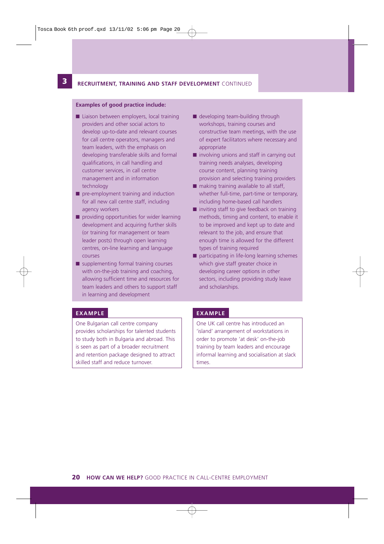#### **12 3 RECRUITMENT, TRAINING AND STAFF DEVELOPMENT** CONTINUED

#### **Examples of good practice include:**

- Liaison between employers, local training providers and other social actors to develop up-to-date and relevant courses for call centre operators, managers and team leaders, with the emphasis on developing transferable skills and formal qualifications, in call handling and customer services, in call centre management and in information technology
- pre-employment training and induction for all new call centre staff, including agency workers
- providing opportunities for wider learning development and acquiring further skills (or training for management or team leader posts) through open learning centres, on-line learning and language courses
- supplementing formal training courses with on-the-job training and coaching, allowing sufficient time and resources for team leaders and others to support staff in learning and development
- developing team-building through workshops, training courses and constructive team meetings, with the use of expert facilitators where necessary and appropriate
- involving unions and staff in carrying out training needs analyses, developing course content, planning training provision and selecting training providers
- making training available to all staff, whether full-time, part-time or temporary, including home-based call handlers
- inviting staff to give feedback on training methods, timing and content, to enable it to be improved and kept up to date and relevant to the job, and ensure that enough time is allowed for the different types of training required
- participating in life-long learning schemes which give staff greater choice in developing career options in other sectors, including providing study leave and scholarships.

#### **EXAMPLE**

One Bulgarian call centre company provides scholarships for talented students to study both in Bulgaria and abroad. This is seen as part of a broader recruitment and retention package designed to attract skilled staff and reduce turnover.

#### **EXAMPLE**

One UK call centre has introduced an 'island' arrangement of workstations in order to promote 'at desk' on-the-job training by team leaders and encourage informal learning and socialisation at slack times.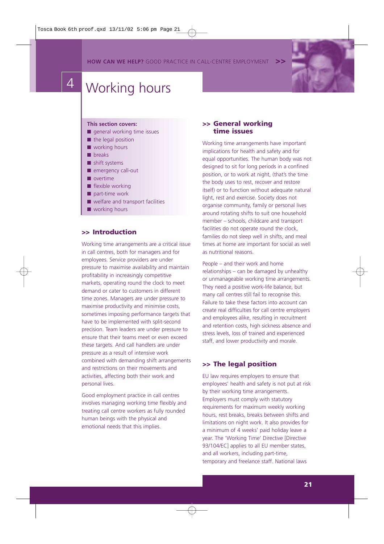**HOW CAN WE HELP?** GOOD PRACTICE IN CALL-CENTRE EMPLOYMENT



# 4 Working hours

#### **This section covers:**

- general working time issues
- the legal position
- working hours
- breaks
- shift systems
- emergency call-out
- overtime
- flexible working
- part-time work
- welfare and transport facilities
- working hours

#### **>> Introduction**

Working time arrangements are a critical issue in call centres, both for managers and for employees. Service providers are under pressure to maximise availability and maintain profitability in increasingly competitive markets, operating round the clock to meet demand or cater to customers in different time zones. Managers are under pressure to maximise productivity and minimise costs, sometimes imposing performance targets that have to be implemented with split-second precision. Team leaders are under pressure to ensure that their teams meet or even exceed these targets. And call handlers are under pressure as a result of intensive work combined with demanding shift arrangements and restrictions on their movements and activities, affecting both their work and personal lives.

Good employment practice in call centres involves managing working time flexibly and treating call centre workers as fully rounded human beings with the physical and emotional needs that this implies.

#### **>> General working time issues**

Working time arrangements have important implications for health and safety and for equal opportunities. The human body was not designed to sit for long periods in a confined position, or to work at night, (that's the time the body uses to rest, recover and restore itself) or to function without adequate natural light, rest and exercise. Society does not organise community, family or personal lives around rotating shifts to suit one household member – schools, childcare and transport facilities do not operate round the clock, families do not sleep well in shifts, and meal times at home are important for social as well as nutritional reasons.

People – and their work and home relationships – can be damaged by unhealthy or unmanageable working time arrangements. They need a positive work-life balance, but many call centres still fail to recognise this. Failure to take these factors into account can create real difficulties for call centre employers and employees alike, resulting in recruitment and retention costs, high sickness absence and stress levels, loss of trained and experienced staff, and lower productivity and morale.

#### **>> The legal position**

EU law requires employers to ensure that employees' health and safety is not put at risk by their working time arrangements. Employers must comply with statutory requirements for maximum weekly working hours, rest breaks, breaks between shifts and limitations on night work. It also provides for a minimum of 4 weeks' paid holiday leave a year. The 'Working Time' Directive [Directive 93/104/EC] applies to all EU member states. and all workers, including part-time, temporary and freelance staff. National laws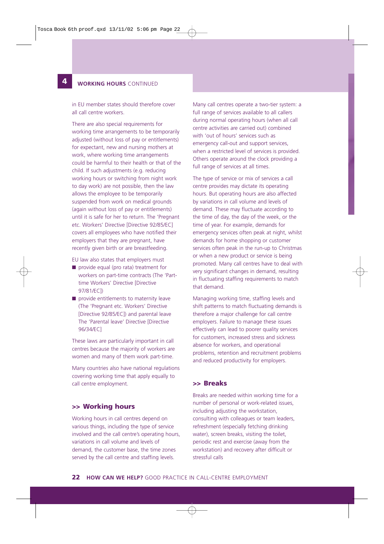#### **4 WORKING HOURS** CONTINUED

**12**

in EU member states should therefore cover all call centre workers.

There are also special requirements for working time arrangements to be temporarily adjusted (without loss of pay or entitlements) for expectant, new and nursing mothers at work, where working time arrangements could be harmful to their health or that of the child. If such adjustments (e.g. reducing working hours or switching from night work to day work) are not possible, then the law allows the employee to be temporarily suspended from work on medical grounds (again without loss of pay or entitlements) until it is safe for her to return. The 'Pregnant etc. Workers' Directive [Directive 92/85/EC] covers all employees who have notified their employers that they are pregnant, have recently given birth or are breastfeeding.

EU law also states that employers must

- provide equal (pro rata) treatment for workers on part-time contracts (The 'Parttime Workers' Directive [Directive 97/81/EC])
- provide entitlements to maternity leave (The 'Pregnant etc. Workers' Directive [Directive 92/85/EC]) and parental leave The 'Parental leave' Directive [Directive 96/34/EC]

These laws are particularly important in call centres because the majority of workers are women and many of them work part-time.

Many countries also have national regulations covering working time that apply equally to call centre employment.

#### **>> Working hours**

Working hours in call centres depend on various things, including the type of service involved and the call centre's operating hours, variations in call volume and levels of demand, the customer base, the time zones served by the call centre and staffing levels.

Many call centres operate a two-tier system: a full range of services available to all callers during normal operating hours (when all call centre activities are carried out) combined with 'out of hours' services such as emergency call-out and support services, when a restricted level of services is provided. Others operate around the clock providing a full range of services at all times.

The type of service or mix of services a call centre provides may dictate its operating hours. But operating hours are also affected by variations in call volume and levels of demand. These may fluctuate according to the time of day, the day of the week, or the time of year. For example, demands for emergency services often peak at night, whilst demands for home shopping or customer services often peak in the run-up to Christmas or when a new product or service is being promoted. Many call centres have to deal with very significant changes in demand, resulting in fluctuating staffing requirements to match that demand.

Managing working time, staffing levels and shift patterns to match fluctuating demands is therefore a major challenge for call centre employers. Failure to manage these issues effectively can lead to poorer quality services for customers, increased stress and sickness absence for workers, and operational problems, retention and recruitment problems and reduced productivity for employers.

#### **>> Breaks**

Breaks are needed within working time for a number of personal or work-related issues, including adjusting the workstation, consulting with colleagues or team leaders, refreshment (especially fetching drinking water), screen breaks, visiting the toilet, periodic rest and exercise (away from the workstation) and recovery after difficult or stressful calls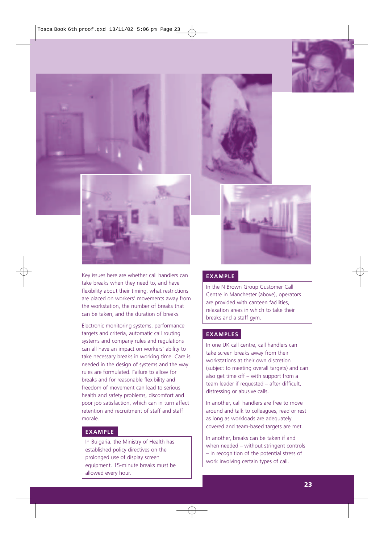





Key issues here are whether call handlers can take breaks when they need to, and have flexibility about their timing, what restrictions are placed on workers' movements away from the workstation, the number of breaks that can be taken, and the duration of breaks.

Electronic monitoring systems, performance targets and criteria, automatic call routing systems and company rules and regulations can all have an impact on workers' ability to take necessary breaks in working time. Care is needed in the design of systems and the way rules are formulated. Failure to allow for breaks and for reasonable flexibility and freedom of movement can lead to serious health and safety problems, discomfort and poor job satisfaction, which can in turn affect retention and recruitment of staff and staff morale.

#### **EXAMPLE**

In Bulgaria, the Ministry of Health has established policy directives on the prolonged use of display screen equipment. 15-minute breaks must be allowed every hour.





#### **EXAMPLE**

In the N Brown Group Customer Call Centre in Manchester (above), operators are provided with canteen facilities, relaxation areas in which to take their breaks and a staff gym.

#### **EXAMPLES**

In one UK call centre, call handlers can take screen breaks away from their workstations at their own discretion (subject to meeting overall targets) and can also get time off – with support from a team leader if requested – after difficult, distressing or abusive calls.

In another, call handlers are free to move around and talk to colleagues, read or rest as long as workloads are adequately covered and team-based targets are met.

In another, breaks can be taken if and when needed – without stringent controls – in recognition of the potential stress of work involving certain types of call.

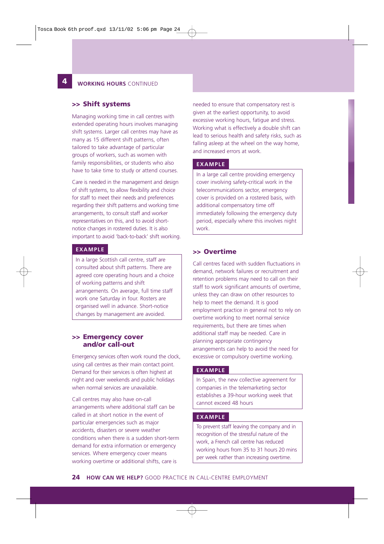#### **4 WORKING HOURS** CONTINUED

#### **>> Shift systems**

**12**

Managing working time in call centres with extended operating hours involves managing shift systems. Larger call centres may have as many as 15 different shift patterns, often tailored to take advantage of particular groups of workers, such as women with family responsibilities, or students who also have to take time to study or attend courses.

Care is needed in the management and design of shift systems, to allow flexibility and choice for staff to meet their needs and preferences regarding their shift patterns and working time arrangements, to consult staff and worker representatives on this, and to avoid shortnotice changes in rostered duties. It is also important to avoid 'back-to-back' shift working.

#### **EXAMPLE**

In a large Scottish call centre, staff are consulted about shift patterns. There are agreed core operating hours and a choice of working patterns and shift arrangements. On average, full time staff work one Saturday in four. Rosters are organised well in advance. Short-notice changes by management are avoided.

#### **>> Emergency cover and/or call-out**

Emergency services often work round the clock, using call centres as their main contact point. Demand for their services is often highest at night and over weekends and public holidays when normal services are unavailable.

Call centres may also have on-call arrangements where additional staff can be called in at short notice in the event of particular emergencies such as major accidents, disasters or severe weather conditions when there is a sudden short-term demand for extra information or emergency services. Where emergency cover means working overtime or additional shifts, care is

needed to ensure that compensatory rest is given at the earliest opportunity, to avoid excessive working hours, fatigue and stress. Working what is effectively a double shift can lead to serious health and safety risks, such as falling asleep at the wheel on the way home, and increased errors at work.

#### **EXAMPLE**

In a large call centre providing emergency cover involving safety-critical work in the telecommunications sector, emergency cover is provided on a rostered basis, with additional compensatory time off immediately following the emergency duty period, especially where this involves night work.

#### **>> Overtime**

Call centres faced with sudden fluctuations in demand, network failures or recruitment and retention problems may need to call on their staff to work significant amounts of overtime, unless they can draw on other resources to help to meet the demand. It is good employment practice in general not to rely on overtime working to meet normal service requirements, but there are times when additional staff may be needed. Care in planning appropriate contingency arrangements can help to avoid the need for excessive or compulsory overtime working.

#### **EXAMPLE**

In Spain, the new collective agreement for companies in the telemarketing sector establishes a 39-hour working week that cannot exceed 48 hours

#### **EXAMPLE**

To prevent staff leaving the company and in recognition of the stressful nature of the work, a French call centre has reduced working hours from 35 to 31 hours 20 mins per week rather than increasing overtime.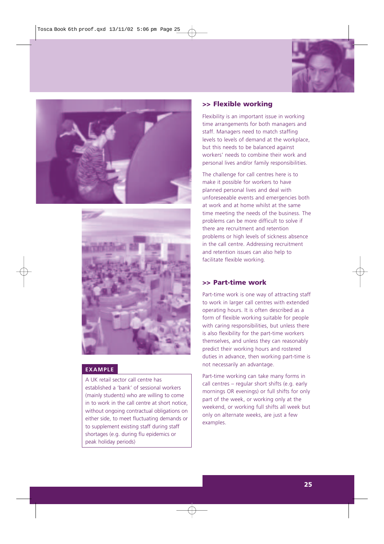





#### **EXAMPLE**

A UK retail sector call centre has established a 'bank' of sessional workers (mainly students) who are willing to come in to work in the call centre at short notice, without ongoing contractual obligations on either side, to meet fluctuating demands or to supplement existing staff during staff shortages (e.g. during flu epidemics or peak holiday periods)

#### **>> Flexible working**

Flexibility is an important issue in working time arrangements for both managers and staff. Managers need to match staffing levels to levels of demand at the workplace, but this needs to be balanced against workers' needs to combine their work and personal lives and/or family responsibilities.

The challenge for call centres here is to make it possible for workers to have planned personal lives and deal with unforeseeable events and emergencies both at work and at home whilst at the same time meeting the needs of the business. The problems can be more difficult to solve if there are recruitment and retention problems or high levels of sickness absence in the call centre. Addressing recruitment and retention issues can also help to facilitate flexible working.

#### **>> Part-time work**

Part-time work is one way of attracting staff to work in larger call centres with extended operating hours. It is often described as a form of flexible working suitable for people with caring responsibilities, but unless there is also flexibility for the part-time workers themselves, and unless they can reasonably predict their working hours and rostered duties in advance, then working part-time is not necessarily an advantage.

Part-time working can take many forms in call centres – regular short shifts (e.g. early mornings OR evenings) or full shifts for only part of the week, or working only at the weekend, or working full shifts all week but only on alternate weeks, are just a few examples.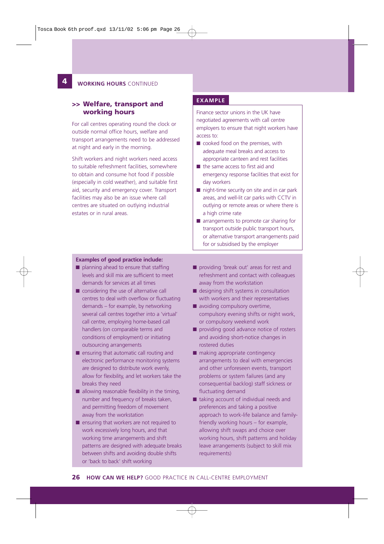#### **124 WORKING HOURS** CONTINUED

#### **>> Welfare, transport and working hours**

For call centres operating round the clock or outside normal office hours, welfare and transport arrangements need to be addressed at night and early in the morning.

Shift workers and night workers need access to suitable refreshment facilities, somewhere to obtain and consume hot food if possible (especially in cold weather), and suitable first aid, security and emergency cover. Transport facilities may also be an issue where call centres are situated on outlying industrial estates or in rural areas.

#### **Examples of good practice include:**

- planning ahead to ensure that staffing levels and skill mix are sufficient to meet demands for services at all times
- considering the use of alternative call centres to deal with overflow or fluctuating demands – for example, by networking several call centres together into a 'virtual' call centre, employing home-based call handlers (on comparable terms and conditions of employment) or initiating outsourcing arrangements
- ensuring that automatic call routing and electronic performance monitoring systems are designed to distribute work evenly, allow for flexibility, and let workers take the breaks they need
- $\blacksquare$  allowing reasonable flexibility in the timing, number and frequency of breaks taken, and permitting freedom of movement away from the workstation
- ensuring that workers are not required to work excessively long hours, and that working time arrangements and shift patterns are designed with adequate breaks between shifts and avoiding double shifts or 'back to back' shift working

### **EXAMPLE**

Finance sector unions in the UK have negotiated agreements with call centre employers to ensure that night workers have access to:

- cooked food on the premises, with adequate meal breaks and access to appropriate canteen and rest facilities
- the same access to first aid and emergency response facilities that exist for day workers
- night-time security on site and in car park areas, and well-lit car parks with CCTV in outlying or remote areas or where there is a high crime rate
- arrangements to promote car sharing for transport outside public transport hours, or alternative transport arrangements paid for or subsidised by the employer
- providing 'break out' areas for rest and refreshment and contact with colleagues away from the workstation
- designing shift systems in consultation with workers and their representatives ■ avoiding compulsory overtime,
- compulsory evening shifts or night work, or compulsory weekend work
- providing good advance notice of rosters and avoiding short-notice changes in rostered duties
- making appropriate contingency arrangements to deal with emergencies and other unforeseen events, transport problems or system failures (and any consequential backlog) staff sickness or fluctuating demand
- taking account of individual needs and preferences and taking a positive approach to work-life balance and familyfriendly working hours – for example, allowing shift swaps and choice over working hours, shift patterns and holiday leave arrangements (subject to skill mix requirements)

**26 HOW CAN WE HELP?** GOOD PRACTICE IN CALL-CENTRE EMPLOYMENT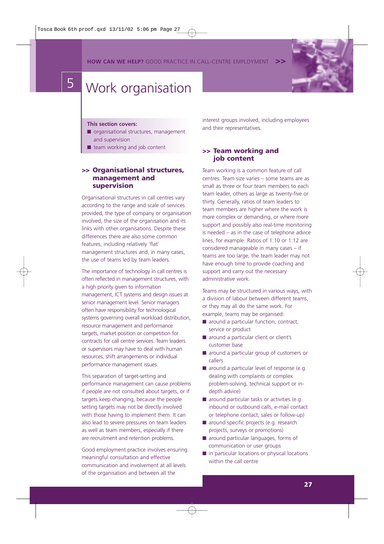**HOW CAN WE HELP?** GOOD PRACTICE IN CALL-CENTRE EMPLOYMENT



# 5 Work organisation

#### **This section covers:**

- organisational structures, management and supervision
- team working and job content

#### **>> Organisational structures, management and supervision**

Organisational structures in call centres vary according to the range and scale of services provided, the type of company or organisation involved, the size of the organisation and its links with other organisations. Despite these differences there are also some common features, including relatively 'flat' management structures and, in many cases, the use of teams led by team leaders.

The importance of technology in call centres is often reflected in management structures, with a high priority given to information management, ICT systems and design issues at senior management level. Senior managers often have responsibility for technological systems governing overall workload distribution, resource management and performance targets, market position or competition for contracts for call centre services. Team leaders or supervisors may have to deal with human resources, shift arrangements or individual performance management issues.

This separation of target-setting and performance management can cause problems if people are not consulted about targets, or if targets keep changing, because the people setting targets may not be directly involved with those having to implement them. It can also lead to severe pressures on team leaders as well as team members, especially if there are recruitment and retention problems.

Good employment practice involves ensuring meaningful consultation and effective communication and involvement at all levels of the organisation and between all the

interest groups involved, including employees and their representatives.

#### **>> Team working and job content**

Team working is a common feature of call centres. Team size varies – some teams are as small as three or four team members to each team leader, others as large as twenty-five or thirty. Generally, ratios of team leaders to team members are higher where the work is more complex or demanding, or where more support and possibly also real-time monitoring is needed – as in the case of telephone advice lines, for example. Ratios of 1:10 or 1:12 are considered manageable in many cases – if teams are too large, the team leader may not have enough time to provide coaching and support and carry out the necessary administrative work.

Teams may be structured in various ways, with a division of labour between different teams, or they may all do the same work. For example, teams may be organised:

- around a particular function, contract, service or product
- around a particular client or client's customer base
- around a particular group of customers or callers
- around a particular level of response (e.g. dealing with complaints or complex problem-solving, technical support or indepth advice)
- around particular tasks or activities (e.g. inbound or outbound calls, e-mail contact or telephone contact, sales or follow-up)
- around specific projects (e.g. research projects, surveys or promotions)
- around particular languages, forms of communication or user groups
- in particular locations or physical locations within the call centre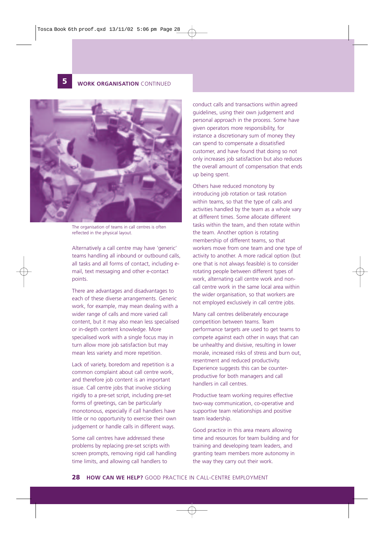

#### **5 WORK ORGANISATION** CONTINUED



The organisation of teams in call centres is often reflected in the physical layout.

Alternatively a call centre may have 'generic' teams handling all inbound or outbound calls, all tasks and all forms of contact, including email, text messaging and other e-contact points.

There are advantages and disadvantages to each of these diverse arrangements. Generic work, for example, may mean dealing with a wider range of calls and more varied call content, but it may also mean less specialised or in-depth content knowledge. More specialised work with a single focus may in turn allow more job satisfaction but may mean less variety and more repetition.

Lack of variety, boredom and repetition is a common complaint about call centre work, and therefore job content is an important issue. Call centre jobs that involve sticking rigidly to a pre-set script, including pre-set forms of greetings, can be particularly monotonous, especially if call handlers have little or no opportunity to exercise their own judgement or handle calls in different ways.

Some call centres have addressed these problems by replacing pre-set scripts with screen prompts, removing rigid call handling time limits, and allowing call handlers to

conduct calls and transactions within agreed guidelines, using their own judgement and personal approach in the process. Some have given operators more responsibility, for instance a discretionary sum of money they can spend to compensate a dissatisfied customer, and have found that doing so not only increases job satisfaction but also reduces the overall amount of compensation that ends up being spent.

Others have reduced monotony by introducing job rotation or task rotation within teams, so that the type of calls and activities handled by the team as a whole vary at different times. Some allocate different tasks within the team, and then rotate within the team. Another option is rotating membership of different teams, so that workers move from one team and one type of activity to another. A more radical option (but one that is not always feasible) is to consider rotating people between different types of work, alternating call centre work and noncall centre work in the same local area within the wider organisation, so that workers are not employed exclusively in call centre jobs.

Many call centres deliberately encourage competition between teams. Team performance targets are used to get teams to compete against each other in ways that can be unhealthy and divisive, resulting in lower morale, increased risks of stress and burn out, resentment and reduced productivity. Experience suggests this can be counterproductive for both managers and call handlers in call centres.

Productive team working requires effective two-way communication, co-operative and supportive team relationships and positive team leadership.

Good practice in this area means allowing time and resources for team building and for training and developing team leaders, and granting team members more autonomy in the way they carry out their work.

**28 HOW CAN WE HELP?** GOOD PRACTICE IN CALL-CENTRE EMPLOYMENT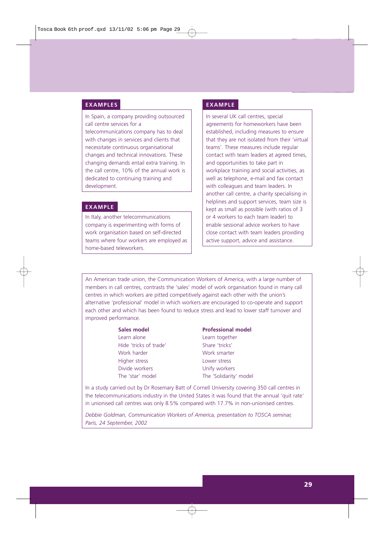#### **EXAMPLES**

In Spain, a company providing outsourced call centre services for a

telecommunications company has to deal with changes in services and clients that necessitate continuous organisational changes and technical innovations. These changing demands entail extra training. In the call centre, 10% of the annual work is dedicated to continuing training and development.

#### **EXAMPLE**

In Italy, another telecommunications company is experimenting with forms of work organisation based on self-directed teams where four workers are employed as home-based teleworkers.

#### **EXAMPLE**

In several UK call centres, special agreements for homeworkers have been established, including measures to ensure that they are not isolated from their 'virtual teams'. These measures include regular contact with team leaders at agreed times, and opportunities to take part in workplace training and social activities, as well as telephone, e-mail and fax contact with colleagues and team leaders. In another call centre, a charity specialising in helplines and support services, team size is kept as small as possible (with ratios of 3 or 4 workers to each team leader) to enable sessional advice workers to have close contact with team leaders providing active support, advice and assistance.

An American trade union, the Communication Workers of America, with a large number of members in call centres, contrasts the 'sales' model of work organisation found in many call centres in which workers are pitted competitively against each other with the union's alternative 'professional' model in which workers are encouraged to co-operate and support each other and which has been found to reduce stress and lead to lower staff turnover and improved performance.

Hide 'tricks of trade' Share 'tricks' Work harder Work smarter Higher stress Lower stress Divide workers **Unify workers** The 'star' model The 'Solidarity' model

#### **Sales model Contract Professional model**

Learn alone Learn together

In a study carried out by Dr Rosemary Batt of Cornell University covering 350 call centres in the telecommunications industry in the United States it was found that the annual 'quit rate' in unionised call centres was only 8.5% compared with 17.7% in non-unionised centres.

*Debbie Goldman, Communication Workers of America, presentation to TOSCA seminar, Paris, 24 September, 2002*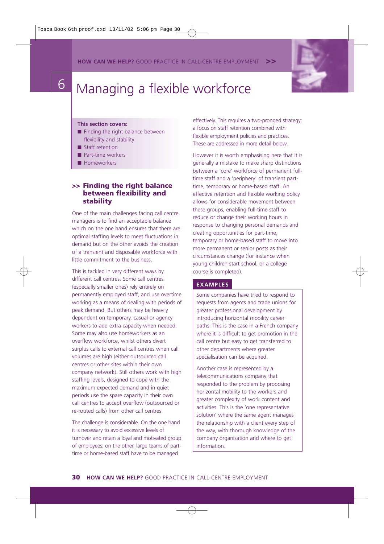**HOW CAN WE HELP?** GOOD PRACTICE IN CALL-CENTRE EMPLOYMENT **>>**



# 6 Managing a flexible workforce

#### **This section covers:**

- Finding the right balance between flexibility and stability
- Staff retention
- Part-time workers
- Homeworkers

#### **>> Finding the right balance between flexibility and stability**

One of the main challenges facing call centre managers is to find an acceptable balance which on the one hand ensures that there are optimal staffing levels to meet fluctuations in demand but on the other avoids the creation of a transient and disposable workforce with little commitment to the business.

This is tackled in very different ways by different call centres. Some call centres (especially smaller ones) rely entirely on permanently employed staff, and use overtime working as a means of dealing with periods of peak demand. But others may be heavily dependent on temporary, casual or agency workers to add extra capacity when needed. Some may also use homeworkers as an overflow workforce, whilst others divert surplus calls to external call centres when call volumes are high (either outsourced call centres or other sites within their own company network). Still others work with high staffing levels, designed to cope with the maximum expected demand and in quiet periods use the spare capacity in their own call centres to accept overflow (outsourced or re-routed calls) from other call centres.

The challenge is considerable. On the one hand it is necessary to avoid excessive levels of turnover and retain a loyal and motivated group of employees; on the other, large teams of parttime or home-based staff have to be managed

effectively. This requires a two-pronged strategy: a focus on staff retention combined with flexible employment policies and practices. These are addressed in more detail below.

However it is worth emphasising here that it is generally a mistake to make sharp distinctions between a 'core' workforce of permanent fulltime staff and a 'periphery' of transient parttime, temporary or home-based staff. An effective retention and flexible working policy allows for considerable movement between these groups, enabling full-time staff to reduce or change their working hours in response to changing personal demands and creating opportunities for part-time, temporary or home-based staff to move into more permanent or senior posts as their circumstances change (for instance when young children start school, or a college course is completed).

#### **EXAMPLES**

Some companies have tried to respond to requests from agents and trade unions for greater professional development by introducing horizontal mobility career paths. This is the case in a French company where it is difficult to get promotion in the call centre but easy to get transferred to other departments where greater specialisation can be acquired.

Another case is represented by a telecommunications company that responded to the problem by proposing horizontal mobility to the workers and greater complexity of work content and activities. This is the 'one representative solution' where the same agent manages the relationship with a client every step of the way, with thorough knowledge of the company organisation and where to get information.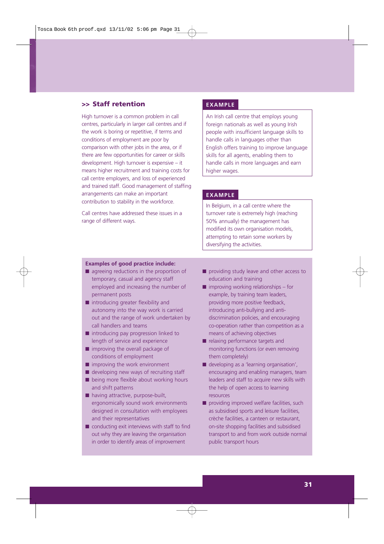#### **>> Staff retention**

High turnover is a common problem in call centres, particularly in larger call centres and if the work is boring or repetitive, if terms and conditions of employment are poor by comparison with other jobs in the area, or if there are few opportunities for career or skills development. High turnover is expensive – it means higher recruitment and training costs for call centre employers, and loss of experienced and trained staff. Good management of staffing arrangements can make an important contribution to stability in the workforce.

Call centres have addressed these issues in a range of different ways.

#### **EXAMPLE**

An Irish call centre that employs young foreign nationals as well as young Irish people with insufficient language skills to handle calls in languages other than English offers training to improve language skills for all agents, enabling them to handle calls in more languages and earn higher wages.

#### **EXAMPLE**

In Belgium, in a call centre where the turnover rate is extremely high (reaching 50% annually) the management has modified its own organisation models, attempting to retain some workers by diversifying the activities.

#### **Examples of good practice include:**

- agreeing reductions in the proportion of temporary, casual and agency staff employed and increasing the number of permanent posts
- introducing greater flexibility and autonomy into the way work is carried out and the range of work undertaken by call handlers and teams
- introducing pay progression linked to length of service and experience
- improving the overall package of conditions of employment
- improving the work environment
- developing new ways of recruiting staff ■ being more flexible about working hours and shift patterns
- having attractive, purpose-built, ergonomically sound work environments designed in consultation with employees and their representatives
- conducting exit interviews with staff to find out why they are leaving the organisation in order to identify areas of improvement
- providing study leave and other access to education and training
- $\blacksquare$  improving working relationships for example, by training team leaders, providing more positive feedback, introducing anti-bullying and antidiscrimination policies, and encouraging co-operation rather than competition as a means of achieving objectives
- relaxing performance targets and monitoring functions (or even removing them completely)
- developing as a 'learning organisation', encouraging and enabling managers, team leaders and staff to acquire new skills with the help of open access to learning resources
- providing improved welfare facilities, such as subsidised sports and leisure facilities, crèche facilities, a canteen or restaurant, on-site shopping facilities and subsidised transport to and from work outside normal public transport hours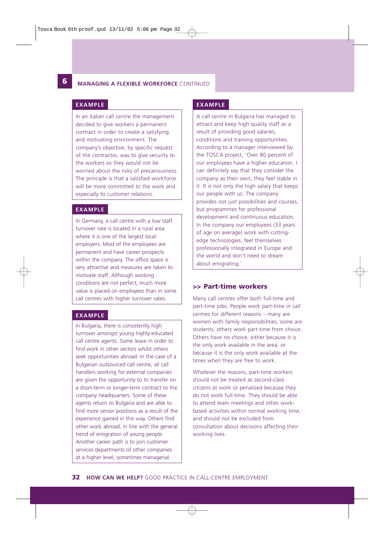**12**

#### **6 MANAGING A FLEXIBLE WORKFORCE** CONTINUED

In an Italian call centre the management decided to give workers a permanent contract in order to create a satisfying and motivating environment. The company's objective, by specific request of the contractor, was to give security to the workers so they would not be worried about the risks of precariousness. The principle is that a satisfied workforce will be more committed to the work and especially to customer relations.

#### **EXAMPLE**

In Germany, a call centre with a low staff turnover rate is located in a rural area where it is one of the largest local employers. Most of the employees are permanent and have career prospects within the company. The office space is very attractive and measures are taken to motivate staff. Although working conditions are not perfect, much more value is placed on employees than in some call centres with higher turnover rates.

#### **EXAMPLE**

In Bulgaria, there is consistently high turnover amongst young highly-educated call centre agents. Some leave in order to find work in other sectors whilst others seek opportunities abroad. In the case of a Bulgarian outsourced call centre, all call handlers working for external companies are given the opportunity to to transfer on a short-term or longer-term contract to the company headquarters. Some of these agents return to Bulgaria and are able to find more senior positions as a result of the experience gained in this way. Others find other work abroad, in line with the general trend of emigration of young people. Another career path is to join customer services departments of other companies at a higher level, sometimes managerial.

#### **EXAMPLE EXAMPLE**

A call centre in Bulgaria has managed to attract and keep high quality staff as a result of providing good salaries, conditions and training opportunities. According to a manager interviewed by the TOSCA project, 'Over 80 percent of our employees have a higher education. I can definitely say that they consider the company as their own, they feel stable in it. It is not only the high salary that keeps our people with us. The company provides not just possibilities and courses, but programmes for professional development and continuous education. In the company our employees (33 years of age on average) work with cuttingedge technologies, feel themselves professionally integrated in Europe and the world and don't need to dream about emigrating.'

#### **>> Part-time workers**

Many call centres offer both full-time and part-time jobs. People work part-time in call centres for different reasons – many are women with family responsibilities, some are students, others work part-time from choice. Others have no choice, either because it is the only work available in the area, or because it is the only work available at the times when they are free to work.

Whatever the reasons, part-time workers should not be treated as second-class citizens at work or penalised because they do not work full-time. They should be able to attend team meetings and other workbased activities within normal working time, and should not be excluded from consultation about decisions affecting their working lives.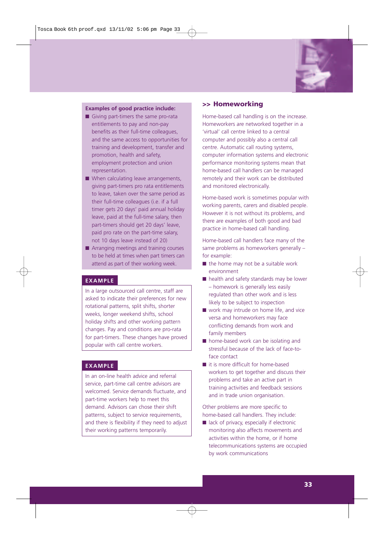

#### **Examples of good practice include:**

- Giving part-timers the same pro-rata entitlements to pay and non-pay benefits as their full-time colleagues, and the same access to opportunities for training and development, transfer and promotion, health and safety, employment protection and union representation.
- When calculating leave arrangements, giving part-timers pro rata entitlements to leave, taken over the same period as their full-time colleagues (i.e. if a full timer gets 20 days' paid annual holiday leave, paid at the full-time salary, then part-timers should get 20 days' leave, paid pro rate on the part-time salary, not 10 days leave instead of 20)
- Arranging meetings and training courses to be held at times when part timers can attend as part of their working week.

#### **EXAMPLE**

In a large outsourced call centre, staff are asked to indicate their preferences for new rotational patterns, split shifts, shorter weeks, longer weekend shifts, school holiday shifts and other working pattern changes. Pay and conditions are pro-rata for part-timers. These changes have proved popular with call centre workers.

#### **EXAMPLE**

In an on-line health advice and referral service, part-time call centre advisors are welcomed. Service demands fluctuate, and part-time workers help to meet this demand. Advisors can chose their shift patterns, subject to service requirements, and there is flexibility if they need to adjust their working patterns temporarily.

#### **>> Homeworking**

Home-based call handling is on the increase. Homeworkers are networked together in a 'virtual' call centre linked to a central computer and possibly also a central call centre. Automatic call routing systems, computer information systems and electronic performance monitoring systems mean that home-based call handlers can be managed remotely and their work can be distributed and monitored electronically.

Home-based work is sometimes popular with working parents, carers and disabled people. However it is not without its problems, and there are examples of both good and bad practice in home-based call handling.

Home-based call handlers face many of the same problems as homeworkers generally – for example:

- $\blacksquare$  the home may not be a suitable work environment
- health and safety standards may be lower – homework is generally less easily regulated than other work and is less likely to be subject to inspection
- work may intrude on home life, and vice versa and homeworkers may face conflicting demands from work and family members
- home-based work can be isolating and stressful because of the lack of face-toface contact
- it is more difficult for home-based workers to get together and discuss their problems and take an active part in training activities and feedback sessions and in trade union organisation.

Other problems are more specific to home-based call handlers. They include:

■ lack of privacy, especially if electronic monitoring also affects movements and activities within the home, or if home telecommunications systems are occupied by work communications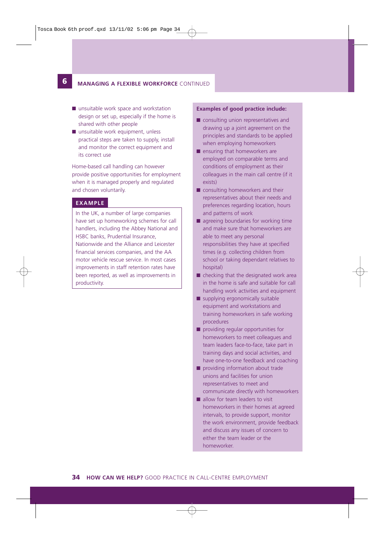#### **6 MANAGING A FLEXIBLE WORKFORCE** CONTINUED

- unsuitable work space and workstation design or set up, especially if the home is shared with other people
- unsuitable work equipment, unless practical steps are taken to supply, install and monitor the correct equipment and its correct use

Home-based call handling can however provide positive opportunities for employment when it is managed properly and regulated and chosen voluntarily.

#### **EXAMPLE**

**12**

In the UK, a number of large companies have set up homeworking schemes for call handlers, including the Abbey National and HSBC banks, Prudential Insurance, Nationwide and the Alliance and Leicester financial services companies, and the AA motor vehicle rescue service. In most cases improvements in staff retention rates have been reported, as well as improvements in productivity.

#### **Examples of good practice include:**

- consulting union representatives and drawing up a joint agreement on the principles and standards to be applied when employing homeworkers
- ensuring that homeworkers are employed on comparable terms and conditions of employment as their colleagues in the main call centre (if it exists)
- consulting homeworkers and their representatives about their needs and preferences regarding location, hours and patterns of work
- agreeing boundaries for working time and make sure that homeworkers are able to meet any personal responsibilities they have at specified times (e.g. collecting children from school or taking dependant relatives to hospital)
- $\blacksquare$  checking that the designated work area in the home is safe and suitable for call handling work activities and equipment
- supplying ergonomically suitable equipment and workstations and training homeworkers in safe working procedures
- providing regular opportunities for homeworkers to meet colleagues and team leaders face-to-face, take part in training days and social activities, and have one-to-one feedback and coaching
- providing information about trade unions and facilities for union representatives to meet and communicate directly with homeworkers
- allow for team leaders to visit homeworkers in their homes at agreed intervals, to provide support, monitor the work environment, provide feedback and discuss any issues of concern to either the team leader or the homeworker.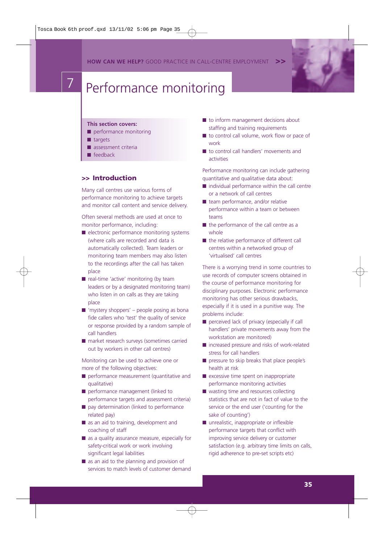**HOW CAN WE HELP?** GOOD PRACTICE IN CALL-CENTRE EMPLOYMENT



# Performance monitoring

#### **This section covers:**

- performance monitoring
- targets
- assessment criteria
- feedback

#### **>> Introduction**

Many call centres use various forms of performance monitoring to achieve targets and monitor call content and service delivery.

Often several methods are used at once to monitor performance, including:

- electronic performance monitoring systems (where calls are recorded and data is automatically collected). Team leaders or monitoring team members may also listen to the recordings after the call has taken place
- real-time 'active' monitoring (by team leaders or by a designated monitoring team) who listen in on calls as they are taking place
- $\blacksquare$  'mystery shoppers' people posing as bona fide callers who 'test' the quality of service or response provided by a random sample of call handlers
- market research surveys (sometimes carried out by workers in other call centres)

Monitoring can be used to achieve one or more of the following objectives:

- performance measurement (quantitative and qualitative)
- performance management (linked to performance targets and assessment criteria)
- pay determination (linked to performance related pay)
- as an aid to training, development and coaching of staff
- as a quality assurance measure, especially for safety-critical work or work involving significant legal liabilities
- as an aid to the planning and provision of services to match levels of customer demand
- to inform management decisions about staffing and training requirements
- to control call volume, work flow or pace of work
- to control call handlers' movements and activities

Performance monitoring can include gathering quantitative and qualitative data about:

- individual performance within the call centre or a network of call centres
- team performance, and/or relative performance within a team or between teams
- the performance of the call centre as a whole
- the relative performance of different call centres within a networked group of 'virtualised' call centres

There is a worrying trend in some countries to use records of computer screens obtained in the course of performance monitoring for disciplinary purposes. Electronic performance monitoring has other serious drawbacks, especially if it is used in a punitive way. The problems include:

- perceived lack of privacy (especially if call handlers' private movements away from the workstation are monitored)
- increased pressure and risks of work-related stress for call handlers
- pressure to skip breaks that place people's health at risk
- excessive time spent on inappropriate performance monitoring activities
- wasting time and resources collecting statistics that are not in fact of value to the service or the end user ('counting for the sake of counting')
- unrealistic, inappropriate or inflexible performance targets that conflict with improving service delivery or customer satisfaction (e.g. arbitrary time limits on calls, rigid adherence to pre-set scripts etc)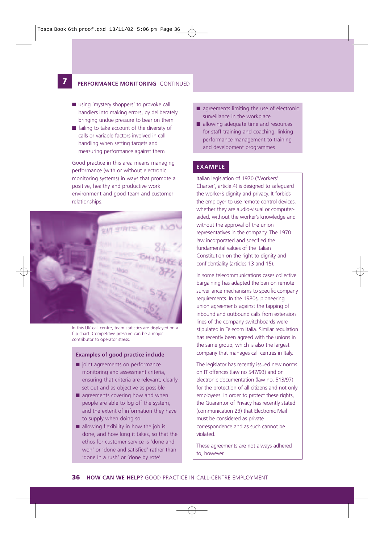**12**

#### **7 PERFORMANCE MONITORING** CONTINUED

- using 'mystery shoppers' to provoke call handlers into making errors, by deliberately bringing undue pressure to bear on them
- failing to take account of the diversity of calls or variable factors involved in call handling when setting targets and measuring performance against them

Good practice in this area means managing performance (with or without electronic monitoring systems) in ways that promote a positive, healthy and productive work environment and good team and customer relationships.



In this UK call centre, team statistics are displayed on a flip chart. Competitive pressure can be a major contributor to operator stress.

#### **Examples of good practice include**

- joint agreements on performance monitoring and assessment criteria, ensuring that criteria are relevant, clearly set out and as objective as possible
- $\blacksquare$  agreements covering how and when people are able to log off the system, and the extent of information they have to supply when doing so
- allowing flexibility in how the job is done, and how long it takes, so that the ethos for customer service is 'done and won' or 'done and satisfied' rather than 'done in a rush' or 'done by rote'
- agreements limiting the use of electronic surveillance in the workplace
- allowing adequate time and resources for staff training and coaching, linking performance management to training and development programmes

#### **EXAMPLE**

Italian legislation of 1970 ('Workers' Charter', article.4) is designed to safeguard the worker's dignity and privacy. It forbids the employer to use remote control devices, whether they are audio-visual or computeraided, without the worker's knowledge and without the approval of the union representatives in the company. The 1970 law incorporated and specified the fundamental values of the Italian Constitution on the right to dignity and confidentiality (articles 13 and 15).

In some telecommunications cases collective bargaining has adapted the ban on remote surveillance mechanisms to specific company requirements. In the 1980s, pioneering union agreements against the tapping of inbound and outbound calls from extension lines of the company switchboards were stipulated in Telecom Italia. Similar regulation has recently been agreed with the unions in the same group, which is also the largest company that manages call centres in Italy.

The legislator has recently issued new norms on IT offences (law no 547/93) and on electronic documentation (law no. 513/97) for the protection of all citizens and not only employees. In order to protect these rights, the Guarantor of Privacy has recently stated (communication 23) that Electronic Mail must be considered as private correspondence and as such cannot be violated.

These agreements are not always adhered to, however.

#### **36 HOW CAN WE HELP?** GOOD PRACTICE IN CALL-CENTRE EMPLOYMENT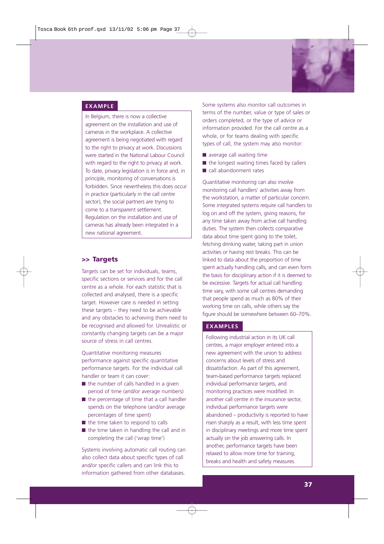

# **EXAMPLE**

In Belgium, there is now a collective agreement on the installation and use of cameras in the workplace. A collective agreement is being negotiated with regard to the right to privacy at work. Discussions were started in the National Labour Council with regard to the right to privacy at work. To date, privacy legislation is in force and, in principle, monitoring of conversations is forbidden. Since nevertheless this does occur in practice (particularly in the call centre sector), the social partners are trying to come to a transparent settlement. Regulation on the installation and use of cameras has already been integrated in a new national agreement.

# **>> Targets**

Targets can be set for individuals, teams, specific sections or services and for the call centre as a whole. For each statistic that is collected and analysed, there is a specific target. However care is needed in setting these targets – they need to be achievable and any obstacles to achieving them need to be recognised and allowed for. Unrealistic or constantly changing targets can be a major source of stress in call centres.

Quantitative monitoring measures performance against specific quantitative performance targets. For the individual call handler or team it can cover:

- the number of calls handled in a given period of time (and/or average numbers)
- the percentage of time that a call handler spends on the telephone (and/or average percentages of time spent)
- the time taken to respond to calls
- the time taken in handling the call and in completing the call ('wrap time')

Systems involving automatic call routing can also collect data about specific types of call and/or specific callers and can link this to information gathered from other databases.

Some systems also monitor call outcomes in terms of the number, value or type of sales or orders completed, or the type of advice or information provided. For the call centre as a whole, or for teams dealing with specific types of call, the system may also monitor:

- average call waiting time
- $\blacksquare$  the longest waiting times faced by callers
- call abandonment rates

Quantitative monitoring can also involve monitoring call handlers' activities away from the workstation, a matter of particular concern. Some integrated systems require call handlers to log on and off the system, giving reasons, for any time taken away from active call handling duties. The system then collects comparative data about time spent going to the toilet, fetching drinking water, taking part in union activities or having rest breaks. This can be linked to data about the proportion of time spent actually handling calls, and can even form the basis for disciplinary action if it is deemed to be excessive. Targets for actual call handling time vary, with some call centres demanding that people spend as much as 80% of their working time on calls, while others say the figure should be somewhere between 60–70%.

#### **EXAMPLES**

Following industrial action in its UK call centres, a major employer entered into a new agreement with the union to address concerns about levels of stress and dissatisfaction. As part of this agreement, team-based performance targets replaced individual performance targets, and monitoring practices were modified. In another call centre in the insurance sector, individual performance targets were abandoned – productivity is reported to have risen sharply as a result, with less time spent in disciplinary meetings and more time spent actually on the job answering calls. In another, performance targets have been relaxed to allow more time for training, breaks and health and safety measures.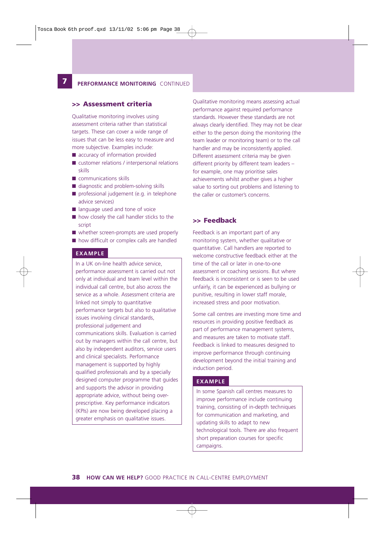#### **7 PERFORMANCE MONITORING** CONTINUED

#### **>> Assessment criteria**

**12**

Qualitative monitoring involves using assessment criteria rather than statistical targets. These can cover a wide range of issues that can be less easy to measure and more subjective. Examples include:

- accuracy of information provided
- customer relations / interpersonal relations skills
- communications skills
- diagnostic and problem-solving skills
- professional judgement (e.g. in telephone advice services)
- language used and tone of voice
- how closely the call handler sticks to the script
- whether screen-prompts are used properly
- how difficult or complex calls are handled

#### **EXAMPLE**

In a UK on-line health advice service, performance assessment is carried out not only at individual and team level within the individual call centre, but also across the service as a whole. Assessment criteria are linked not simply to quantitative performance targets but also to qualitative issues involving clinical standards, professional judgement and communications skills. Evaluation is carried out by managers within the call centre, but also by independent auditors, service users and clinical specialists. Performance management is supported by highly qualified professionals and by a specially designed computer programme that guides and supports the advisor in providing appropriate advice, without being overprescriptive. Key performance indicators (KPIs) are now being developed placing a greater emphasis on qualitative issues.

Qualitative monitoring means assessing actual performance against required performance standards. However these standards are not always clearly identified. They may not be clear either to the person doing the monitoring (the team leader or monitoring team) or to the call handler and may be inconsistently applied. Different assessment criteria may be given different priority by different team leaders – for example, one may prioritise sales achievements whilst another gives a higher value to sorting out problems and listening to the caller or customer's concerns.

#### **>> Feedback**

Feedback is an important part of any monitoring system, whether qualitative or quantitative. Call handlers are reported to welcome constructive feedback either at the time of the call or later in one-to-one assessment or coaching sessions. But where feedback is inconsistent or is seen to be used unfairly, it can be experienced as bullying or punitive, resulting in lower staff morale, increased stress and poor motivation.

Some call centres are investing more time and resources in providing positive feedback as part of performance management systems, and measures are taken to motivate staff. Feedback is linked to measures designed to improve performance through continuing development beyond the initial training and induction period.

# **EXAMPLE**

In some Spanish call centres measures to improve performance include continuing training, consisting of in-depth techniques for communication and marketing, and updating skills to adapt to new technological tools. There are also frequent short preparation courses for specific campaigns.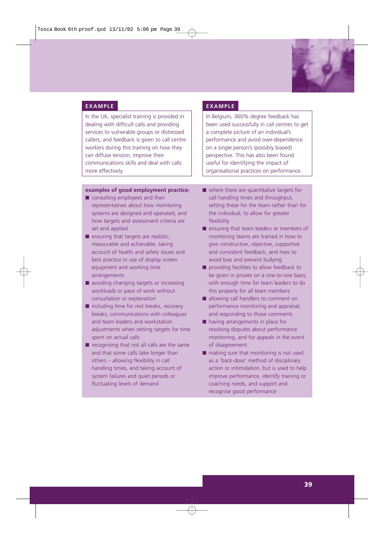

In the UK, specialist training is provided in dealing with difficult calls and providing services to vulnerable groups or distressed callers, and feedback is given to call centre workers during this training on how they can diffuse tension, improve their communications skills and deal with calls more effectively.

#### **examples of good employment practice:**

- consulting employees and their representatives about how monitoring systems are designed and operated, and how targets and assessment criteria are set and applied
- ensuring that targets are realistic, measurable and achievable, taking account of health and safety issues and best practice in use of display screen equipment and working time arrangements
- avoiding changing targets or increasing workloads or pace of work without consultation or explanation
- including time for rest breaks, recovery breaks, communications with colleagues and team leaders and workstation adjustments when setting targets for time spent on actual calls
- recognising that not all calls are the same and that some calls take longer than others – allowing flexibility in call handling times, and taking account of system failures and quiet periods or fluctuating levels of demand

#### **EXAMPLE EXAMPLE**

In Belgium, 360% degree feedback has been used successfully in call centres to get a complete picture of an individual's performance and avoid over-dependence on a single person's (possibly biased) perspective. This has also been found useful for identifying the impact of organisational practices on performance.

- where there are quantitative targets for call handling times and throughput, setting these for the team rather than for the individual, to allow for greater flexibility
- ensuring that team leaders or members of monitoring teams are trained in how to give constructive, objective, supportive and consistent feedback, and how to avoid bias and prevent bullying
- providing facilities to allow feedback to be given in private on a one-to-one basis, with enough time for team leaders to do this properly for all team members
- allowing call handlers to comment on performance monitoring and appraisal, and responding to those comments
- having arrangements in place for resolving disputes about performance monitoring, and for appeals in the event of disagreement
- making sure that monitoring is not used as a 'back-door' method of disciplinary action or intimidation, but is used to help improve performance, identify training or coaching needs, and support and recognise good performance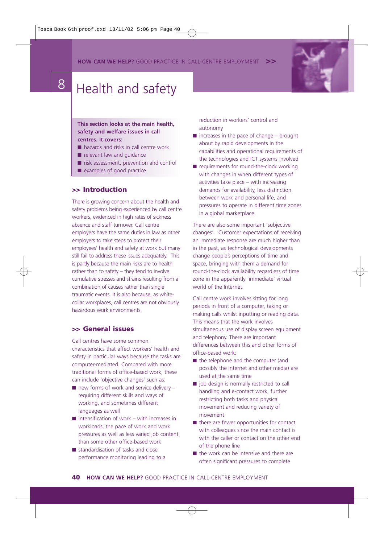**HOW CAN WE HELP?** GOOD PRACTICE IN CALL-CENTRE EMPLOYMENT



#### **This section looks at the main health, safety and welfare issues in call centres. It covers:**

- hazards and risks in call centre work
- relevant law and quidance
- risk assessment, prevention and control
- examples of good practice

#### **>> Introduction**

There is growing concern about the health and safety problems being experienced by call centre workers, evidenced in high rates of sickness absence and staff turnover. Call centre employers have the same duties in law as other employers to take steps to protect their employees' health and safety at work but many still fail to address these issues adequately. This is partly because the main risks are to health rather than to safety – they tend to involve cumulative stresses and strains resulting from a combination of causes rather than single traumatic events. It is also because, as whitecollar workplaces, call centres are not obviously hazardous work environments.

# **>> General issues**

Call centres have some common characteristics that affect workers' health and safety in particular ways because the tasks are computer-mediated. Compared with more traditional forms of office-based work, these can include 'objective changes' such as:

- $\blacksquare$  new forms of work and service delivery requiring different skills and ways of working, and sometimes different languages as well
- $\blacksquare$  intensification of work with increases in workloads, the pace of work and work pressures as well as less varied job content than some other office-based work
- standardisation of tasks and close performance monitoring leading to a

reduction in workers' control and autonomy

- $\blacksquare$  increases in the pace of change brought about by rapid developments in the capabilities and operational requirements of the technologies and ICT systems involved
- requirements for round-the-clock working with changes in when different types of activities take place – with increasing demands for availability, less distinction between work and personal life, and pressures to operate in different time zones in a global marketplace.

There are also some important 'subjective changes'. Customer expectations of receiving an immediate response are much higher than in the past, as technological developments change people's perceptions of time and space, bringing with them a demand for round-the-clock availability regardless of time zone in the apparently 'immediate' virtual world of the Internet.

Call centre work involves sitting for long periods in front of a computer, taking or making calls whilst inputting or reading data. This means that the work involves simultaneous use of display screen equipment and telephony. There are important differences between this and other forms of office-based work:

- the telephone and the computer (and possibly the Internet and other media) are used at the same time
- job design is normally restricted to call handling and e-contact work, further restricting both tasks and physical movement and reducing variety of movement
- there are fewer opportunities for contact with colleagues since the main contact is with the caller or contact on the other end of the phone line
- the work can be intensive and there are often significant pressures to complete

**40 HOW CAN WE HELP?** GOOD PRACTICE IN CALL-CENTRE EMPLOYMENT

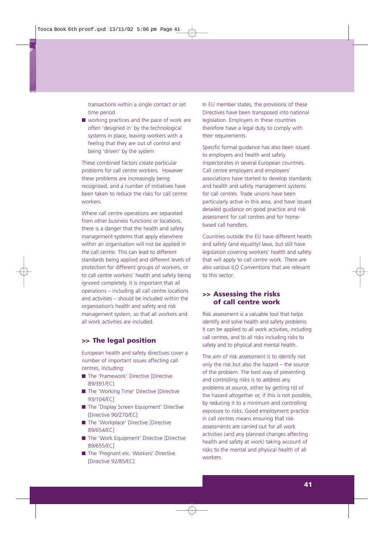transactions within a single contact or set time period

■ working practices and the pace of work are often 'designed in' by the technological systems in place, leaving workers with a feeling that they are out of control and being 'driven' by the system

These combined factors create particular problems for call centre workers. However these problems are increasingly being recognised, and a number of initiatives have been taken to reduce the risks for call centre workers.

Where call centre operations are separated from other business functions or locations, there is a danger that the health and safety management systems that apply elsewhere within an organisation will not be applied in the call centre. This can lead to different standards being applied and different levels of protection for different groups of workers, or to call centre workers' health and safety being ignored completely. It is important that all operations – including all call centre locations and activities – should be included within the organisation's health and safety and risk management system, so that all workers and all work activities are included.

#### **>> The legal position**

European health and safety directives cover a number of important issues affecting call centres, including:

- The 'Framework' Directive [Directive 89/391/EC]
- The 'Working Time' Directive [Directive 93/104/EC]
- The 'Display Screen Equipment' Directive [Directive 90/270/EC]
- The 'Workplace' Directive [Directive 89/654/EC]
- The 'Work Equipment' Directive [Directive 89/655/EC]
- The 'Pregnant etc. Workers' Directive [Directive 92/85/EC]

In EU member states, the provisions of these Directives have been transposed into national legislation. Employers in these countries therefore have a legal duty to comply with their requirements.

Specific formal guidance has also been issued to employers and health and safety inspectorates in several European countries. Call centre employers and employers' associations have started to develop standards and health and safety management systems for call centres. Trade unions have been particularly active in this area, and have issued detailed guidance on good practice and risk assessment for call centres and for homebased call handlers.

Countries outside the EU have different health and safety (and equality) laws, but still have legislation covering workers' health and safety that will apply to call centre work. There are also various ILO Conventions that are relevant to this sector.

## **>> Assessing the risks of call centre work**

Risk assessment is a valuable tool that helps identify and solve health and safety problems. It can be applied to all work activities, including call centres, and to all risks including risks to safety and to physical and mental health.

The aim of risk assessment is to identify not only the risk but also the hazard – the source of the problem. The best way of preventing and controlling risks is to address any problems at source, either by getting rid of the hazard altogether or, if this is not possible, by reducing it to a minimum and controlling exposure to risks. Good employment practice in call centres means ensuring that risk assessments are carried out for all work activities (and any planned changes affecting health and safety at work) taking account of risks to the mental and physical health of all workers.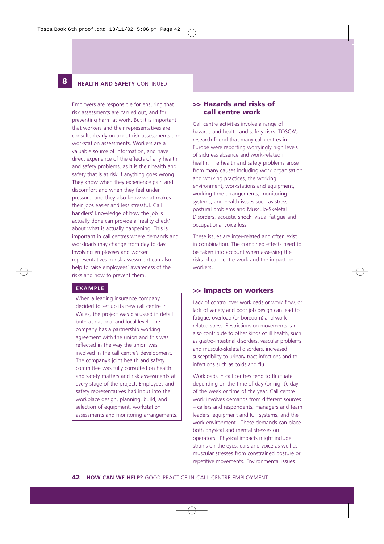# **12 HEALTH AND SAFETY** CONTINUED

**8**

Employers are responsible for ensuring that risk assessments are carried out, and for preventing harm at work. But it is important that workers and their representatives are consulted early on about risk assessments and workstation assessments. Workers are a valuable source of information, and have direct experience of the effects of any health and safety problems, as it is their health and safety that is at risk if anything goes wrong. They know when they experience pain and discomfort and when they feel under pressure, and they also know what makes their jobs easier and less stressful. Call handlers' knowledge of how the job is actually done can provide a 'reality check' about what is actually happening. This is important in call centres where demands and workloads may change from day to day. Involving employees and worker representatives in risk assessment can also help to raise employees' awareness of the risks and how to prevent them.

#### **EXAMPLE**

When a leading insurance company decided to set up its new call centre in Wales, the project was discussed in detail both at national and local level. The company has a partnership working agreement with the union and this was reflected in the way the union was involved in the call centre's development. The company's joint health and safety committee was fully consulted on health and safety matters and risk assessments at every stage of the project. Employees and safety representatives had input into the workplace design, planning, build, and selection of equipment, workstation assessments and monitoring arrangements.

# **>> Hazards and risks of call centre work**

Call centre activities involve a range of hazards and health and safety risks. TOSCA's research found that many call centres in Europe were reporting worryingly high levels of sickness absence and work-related ill health. The health and safety problems arose from many causes including work organisation and working practices, the working environment, workstations and equipment, working time arrangements, monitoring systems, and health issues such as stress, postural problems and Musculo-Skeletal Disorders, acoustic shock, visual fatigue and occupational voice loss

These issues are inter-related and often exist in combination. The combined effects need to be taken into account when assessing the risks of call centre work and the impact on workers.

#### **>> Impacts on workers**

Lack of control over workloads or work flow, or lack of variety and poor job design can lead to fatigue, overload (or boredom) and workrelated stress. Restrictions on movements can also contribute to other kinds of ill health, such as gastro-intestinal disorders, vascular problems and musculo-skeletal disorders, increased susceptibility to urinary tract infections and to infections such as colds and flu.

Workloads in call centres tend to fluctuate depending on the time of day (or night), day of the week or time of the year. Call centre work involves demands from different sources – callers and respondents, managers and team leaders, equipment and ICT systems, and the work environment. These demands can place both physical and mental stresses on operators. Physical impacts might include strains on the eyes, ears and voice as well as muscular stresses from constrained posture or repetitive movements. Environmental issues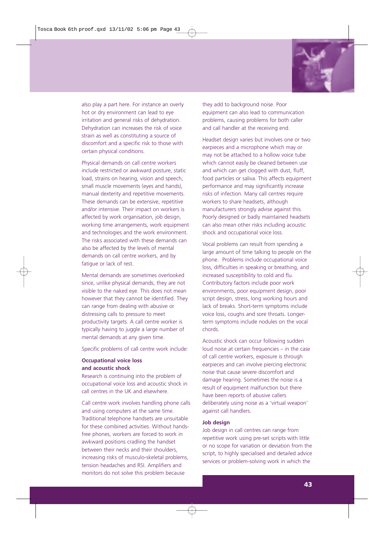

also play a part here. For instance an overly hot or dry environment can lead to eye irritation and general risks of dehydration. Dehydration can increases the risk of voice strain as well as constituting a source of discomfort and a specific risk to those with certain physical conditions.

Physical demands on call centre workers include restricted or awkward posture, static load, strains on hearing, vision and speech, small muscle movements (eyes and hands), manual dexterity and repetitive movements. These demands can be extensive, repetitive and/or intensive. Their impact on workers is affected by work organisation, job design, working time arrangements, work equipment and technologies and the work environment. The risks associated with these demands can also be affected by the levels of mental demands on call centre workers, and by fatigue or lack of rest.

Mental demands are sometimes overlooked since, unlike physical demands, they are not visible to the naked eye. This does not mean however that they cannot be identified. They can range from dealing with abusive or distressing calls to pressure to meet productivity targets. A call centre worker is typically having to juggle a large number of mental demands at any given time.

Specific problems of call centre work include:

#### **Occupational voice loss and acoustic shock**

Research is continuing into the problem of occupational voice loss and acoustic shock in call centres in the UK and elsewhere.

Call centre work involves handling phone calls and using computers at the same time. Traditional telephone handsets are unsuitable for these combined activities. Without handsfree phones, workers are forced to work in awkward positions cradling the handset between their necks and their shoulders, increasing risks of musculo-skeletal problems, tension headaches and RSI. Amplifiers and monitors do not solve this problem because

they add to background noise. Poor equipment can also lead to communication problems, causing problems for both caller and call handler at the receiving end.

Headset design varies but involves one or two earpieces and a microphone which may or may not be attached to a hollow voice tube which cannot easily be cleaned between use and which can get clogged with dust, fluff, food particles or saliva. This affects equipment performance and may significantly increase risks of infection. Many call centres require workers to share headsets, although manufacturers strongly advise against this. Poorly designed or badly maintained headsets can also mean other risks including acoustic shock and occupational voice loss.

Vocal problems can result from spending a large amount of time talking to people on the phone. Problems include occupational voice loss, difficulties in speaking or breathing, and increased susceptibility to cold and flu. Contributory factors include poor work environments, poor equipment design, poor script design, stress, long working hours and lack of breaks. Short-term symptoms include voice loss, coughs and sore throats. Longerterm symptoms include nodules on the vocal chords.

Acoustic shock can occur following sudden loud noise at certain frequencies – in the case of call centre workers, exposure is through earpieces and can involve piercing electronic noise that cause severe discomfort and damage hearing. Sometimes the noise is a result of equipment malfunction but there have been reports of abusive callers deliberately using noise as a 'virtual weapon' against call handlers.

#### **Job design**

Job design in call centres can range from repetitive work using pre-set scripts with little or no scope for variation or deviation from the script, to highly specialised and detailed advice services or problem-solving work in which the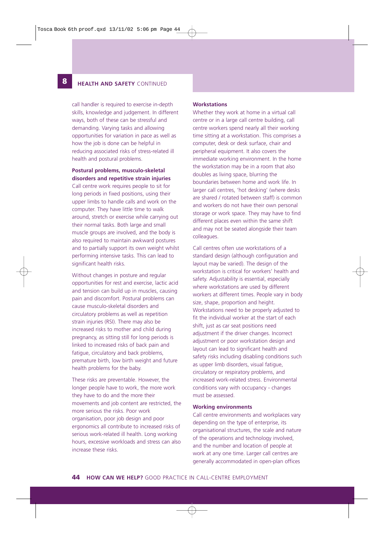#### **12 HEALTH AND SAFETY** CONTINUED

**8**

call handler is required to exercise in-depth skills, knowledge and judgement. In different ways, both of these can be stressful and demanding. Varying tasks and allowing opportunities for variation in pace as well as how the job is done can be helpful in reducing associated risks of stress-related ill health and postural problems.

#### **Postural problems, musculo-skeletal**

**disorders and repetitive strain injuries** Call centre work requires people to sit for long periods in fixed positions, using their upper limbs to handle calls and work on the computer. They have little time to walk around, stretch or exercise while carrying out their normal tasks. Both large and small muscle groups are involved, and the body is also required to maintain awkward postures and to partially support its own weight whilst performing intensive tasks. This can lead to significant health risks.

Without changes in posture and regular opportunities for rest and exercise, lactic acid and tension can build up in muscles, causing pain and discomfort. Postural problems can cause musculo-skeletal disorders and circulatory problems as well as repetition strain injuries (RSI). There may also be increased risks to mother and child during pregnancy, as sitting still for long periods is linked to increased risks of back pain and fatigue, circulatory and back problems, premature birth, low birth weight and future health problems for the baby.

These risks are preventable. However, the longer people have to work, the more work they have to do and the more their movements and job content are restricted, the more serious the risks. Poor work organisation, poor job design and poor ergonomics all contribute to increased risks of serious work-related ill health. Long working hours, excessive workloads and stress can also increase these risks.

#### **Workstations**

Whether they work at home in a virtual call centre or in a large call centre building, call centre workers spend nearly all their working time sitting at a workstation. This comprises a computer, desk or desk surface, chair and peripheral equipment. It also covers the immediate working environment. In the home the workstation may be in a room that also doubles as living space, blurring the boundaries between home and work life. In larger call centres, 'hot desking' (where desks are shared / rotated between staff) is common and workers do not have their own personal storage or work space. They may have to find different places even within the same shift and may not be seated alongside their team colleagues.

Call centres often use workstations of a standard design (although configuration and layout may be varied). The design of the workstation is critical for workers' health and safety. Adjustability is essential, especially where workstations are used by different workers at different times. People vary in body size, shape, proportion and height. Workstations need to be properly adjusted to fit the individual worker at the start of each shift, just as car seat positions need adjustment if the driver changes. Incorrect adjustment or poor workstation design and layout can lead to significant health and safety risks including disabling conditions such as upper limb disorders, visual fatigue, circulatory or respiratory problems, and increased work-related stress. Environmental conditions vary with occupancy - changes must be assessed.

#### **Working environments**

Call centre environments and workplaces vary depending on the type of enterprise, its organisational structures, the scale and nature of the operations and technology involved, and the number and location of people at work at any one time. Larger call centres are generally accommodated in open-plan offices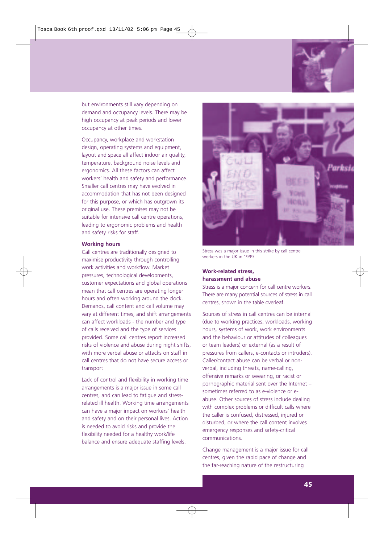

but environments still vary depending on demand and occupancy levels. There may be high occupancy at peak periods and lower occupancy at other times.

Occupancy, workplace and workstation design, operating systems and equipment, layout and space all affect indoor air quality, temperature, background noise levels and ergonomics. All these factors can affect workers' health and safety and performance. Smaller call centres may have evolved in accommodation that has not been designed for this purpose, or which has outgrown its original use. These premises may not be suitable for intensive call centre operations, leading to ergonomic problems and health and safety risks for staff.

#### **Working hours**

Call centres are traditionally designed to maximise productivity through controlling work activities and workflow. Market pressures, technological developments, customer expectations and global operations mean that call centres are operating longer hours and often working around the clock. Demands, call content and call volume may vary at different times, and shift arrangements can affect workloads - the number and type of calls received and the type of services provided. Some call centres report increased risks of violence and abuse during night shifts, with more verbal abuse or attacks on staff in call centres that do not have secure access or transport

Lack of control and flexibility in working time arrangements is a major issue in some call centres, and can lead to fatigue and stressrelated ill health. Working time arrangements can have a major impact on workers' health and safety and on their personal lives. Action is needed to avoid risks and provide the flexibility needed for a healthy work/life balance and ensure adequate staffing levels.



Stress was a major issue in this strike by call centre workers in the UK in 1999

#### **Work-related stress, harassment and abuse**

Stress is a major concern for call centre workers. There are many potential sources of stress in call centres, shown in the table overleaf.

Sources of stress in call centres can be internal (due to working practices, workloads, working hours, systems of work, work environments and the behaviour or attitudes of colleagues or team leaders) or external (as a result of pressures from callers, e-contacts or intruders). Caller/contact abuse can be verbal or nonverbal, including threats, name-calling, offensive remarks or swearing, or racist or pornographic material sent over the Internet – sometimes referred to as e-violence or eabuse. Other sources of stress include dealing with complex problems or difficult calls where the caller is confused, distressed, injured or disturbed, or where the call content involves emergency responses and safety-critical communications.

Change management is a major issue for call centres, given the rapid pace of change and the far-reaching nature of the restructuring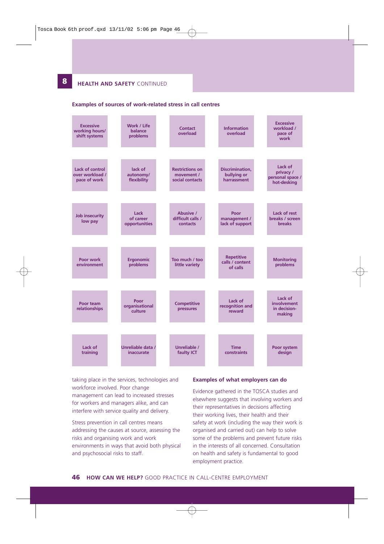**12 HEALTH AND SAFETY** CONTINUED

**8**

#### **Examples of sources of work-related stress in call centres**



taking place in the services, technologies and workforce involved. Poor change management can lead to increased stresses for workers and managers alike, and can interfere with service quality and delivery.

Stress prevention in call centres means addressing the causes at source, assessing the risks and organising work and work environments in ways that avoid both physical and psychosocial risks to staff.

#### **Examples of what employers can do**

Evidence gathered in the TOSCA studies and elsewhere suggests that involving workers and their representatives in decisions affecting their working lives, their health and their safety at work (including the way their work is organised and carried out) can help to solve some of the problems and prevent future risks in the interests of all concerned. Consultation on health and safety is fundamental to good employment practice.

**46 HOW CAN WE HELP?** GOOD PRACTICE IN CALL-CENTRE EMPLOYMENT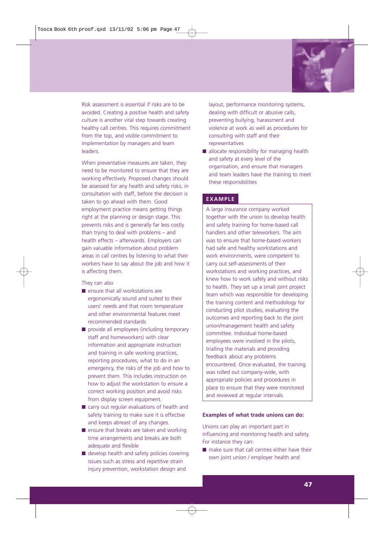

Risk assessment is essential if risks are to be avoided. Creating a positive health and safety culture is another vital step towards creating healthy call centres. This requires commitment from the top, and visible commitment to implementation by managers and team leaders.

When preventative measures are taken, they need to be monitored to ensure that they are working effectively. Proposed changes should be assessed for any health and safety risks, in consultation with staff, before the decision is taken to go ahead with them. Good employment practice means getting things right at the planning or design stage. This prevents risks and is generally far less costly than trying to deal with problems – and health effects – afterwards. Employers can gain valuable information about problem areas in call centres by listening to what their workers have to say about the job and how it is affecting them.

They can also

- ensure that all workstations are ergonomically sound and suited to their users' needs and that room temperature and other environmental features meet recommended standards
- provide all employees (including temporary staff and homeworkers) with clear information and appropriate instruction and training in safe working practices, reporting procedures, what to do in an emergency, the risks of the job and how to prevent them. This includes instruction on how to adjust the workstation to ensure a correct working position and avoid risks from display screen equipment.
- carry out regular evaluations of health and safety training to make sure it is effective and keeps abreast of any changes.
- ensure that breaks are taken and working time arrangements and breaks are both adequate and flexible
- develop health and safety policies covering issues such as stress and repetitive strain injury prevention, workstation design and

layout, performance monitoring systems, dealing with difficult or abusive calls, preventing bullying, harassment and violence at work as well as procedures for consulting with staff and their representatives

■ allocate responsibility for managing health and safety at every level of the organisation, and ensure that managers and team leaders have the training to meet these responsibilities

#### **EXAMPLE**

A large insurance company worked together with the union to develop health and safety training for home-based call handlers and other teleworkers. The aim was to ensure that home-based workers had safe and healthy workstations and work environments, were competent to carry out self-assessments of their workstations and working practices, and knew how to work safely and without risks to health. They set up a small joint project team which was responsible for developing the training content and methodology for conducting pilot studies, evaluating the outcomes and reporting back to the joint union/management health and safety committee. Individual home-based employees were involved in the pilots, trialling the materials and providing feedback about any problems encountered. Once evaluated, the training was rolled out company-wide, with appropriate policies and procedures in place to ensure that they were monitored and reviewed at regular intervals.

#### **Examples of what trade unions can do:**

Unions can play an important part in influencing and monitoring health and safety. For instance they can:

■ make sure that call centres either have their own joint union / employer health and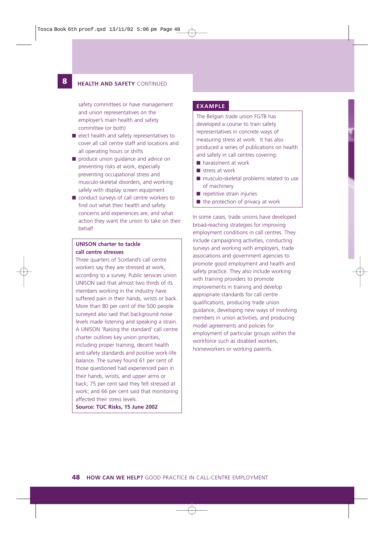## **12 HEALTH AND SAFETY** CONTINUED

**8**

safety committees or have management **EXAMPLE** and union representatives on the employer's main health and safety committee (or both)

- elect health and safety representatives to cover all call centre staff and locations and all operating hours or shifts
- produce union guidance and advice on preventing risks at work, especially preventing occupational stress and musculo-skeletal disorders, and working safely with display screen equipment
- conduct surveys of call centre workers to find out what their health and safety concerns and experiences are, and what action they want the union to take on their behalf

## **UNISON charter to tackle call centre stresses**

Three quarters of Scotland's call centre workers say they are stressed at work, according to a survey. Public services union UNISON said that almost two thirds of its members working in the industry have suffered pain in their hands, wrists or back. More than 80 per cent of the 500 people surveyed also said that background noise levels made listening and speaking a strain. A UNISON 'Raising the standard' call centre charter outlines key union priorities, including proper training, decent health and safety standards and positive work-life balance. The survey found 61 per cent of those questioned had experienced pain in their hands, wrists, and upper arms or back; 75 per cent said they felt stressed at work; and 66 per cent said that monitoring affected their stress levels.

**Source: TUC Risks, 15 June 2002**

The Belgian trade union FGTB has developed a course to train safety representatives in concrete ways of measuring stress at work. It has also produced a series of publications on health and safety in call centres covering:

- harassment at work
- stress at work
- musculo-skeletal problems related to use of machinery
- repetitive strain injuries
- the protection of privacy at work

In some cases, trade unions have developed broad-reaching strategies for improving employment conditions in call centres. They include campaigning activities, conducting surveys and working with employers, trade associations and government agencies to promote good employment and health and safety practice. They also include working with training providers to promote improvements in training and develop appropriate standards for call centre qualifications, producing trade union guidance, developing new ways of involving members in union activities, and producing model agreements and policies for employment of particular groups within the workforce such as disabled workers, homeworkers or working parents.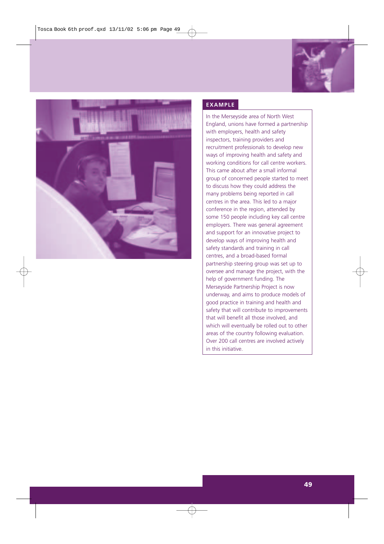



# **EXAMPLE**

In the Merseyside area of North West England, unions have formed a partnership with employers, health and safety inspectors, training providers and recruitment professionals to develop new ways of improving health and safety and working conditions for call centre workers. This came about after a small informal group of concerned people started to meet to discuss how they could address the many problems being reported in call centres in the area. This led to a major conference in the region, attended by some 150 people including key call centre employers. There was general agreement and support for an innovative project to develop ways of improving health and safety standards and training in call centres, and a broad-based formal partnership steering group was set up to oversee and manage the project, with the help of government funding. The Merseyside Partnership Project is now underway, and aims to produce models of good practice in training and health and safety that will contribute to improvements that will benefit all those involved, and which will eventually be rolled out to other areas of the country following evaluation. Over 200 call centres are involved actively in this initiative.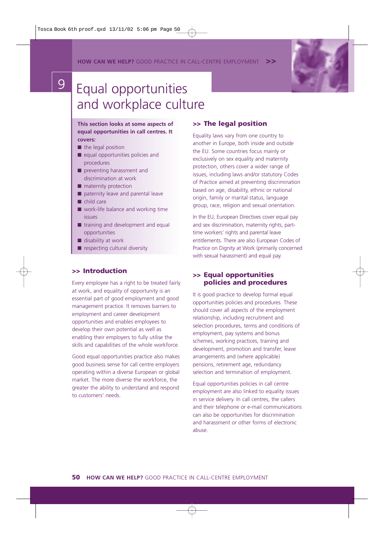**HOW CAN WE HELP?** GOOD PRACTICE IN CALL-CENTRE EMPLOYMENT



# **9** Equal opportunities and workplace culture

**This section looks at some aspects of equal opportunities in call centres. It covers:**

- the legal position
- equal opportunities policies and procedures
- preventing harassment and discrimination at work
- maternity protection
- paternity leave and parental leave
- child care
- work-life balance and working time issues
- training and development and equal opportunities
- disability at work
- respecting cultural diversity

# **>> Introduction**

Every employee has a right to be treated fairly at work, and equality of opportunity is an essential part of good employment and good management practice. It removes barriers to employment and career development opportunities and enables employees to develop their own potential as well as enabling their employers to fully utilise the skills and capabilities of the whole workforce.

Good equal opportunities practice also makes good business sense for call centre employers operating within a diverse European or global market. The more diverse the workforce, the greater the ability to understand and respond to customers' needs.

# **>> The legal position**

Equality laws vary from one country to another in Europe, both inside and outside the EU. Some countries focus mainly or exclusively on sex equality and maternity protection, others cover a wider range of issues, including laws and/or statutory Codes of Practice aimed at preventing discrimination based on age, disability, ethnic or national origin, family or marital status, language group, race, religion and sexual orientation.

In the EU, European Directives cover equal pay and sex discrimination, maternity rights, parttime workers' rights and parental leave entitlements. There are also European Codes of Practice on Dignity at Work (primarily concerned with sexual harassment) and equal pay.

# **>> Equal opportunities policies and procedures**

It is good practice to develop formal equal opportunities policies and procedures. These should cover all aspects of the employment relationship, including recruitment and selection procedures, terms and conditions of employment, pay systems and bonus schemes, working practices, training and development, promotion and transfer, leave arrangements and (where applicable) pensions, retirement age, redundancy selection and termination of employment.

Equal opportunities policies in call centre employment are also linked to equality issues in service delivery. In call centres, the callers and their telephone or e-mail communications can also be opportunities for discrimination and harassment or other forms of electronic abuse.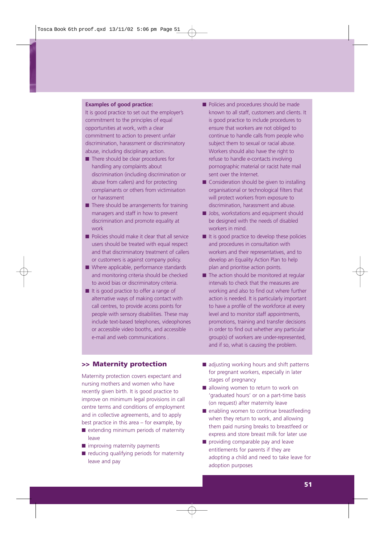#### **Examples of good practice:**

It is good practice to set out the employer's commitment to the principles of equal opportunities at work, with a clear commitment to action to prevent unfair discrimination, harassment or discriminatory abuse, including disciplinary action.

- There should be clear procedures for handling any complaints about discrimination (including discrimination or abuse from callers) and for protecting complainants or others from victimisation or harassment
- $\blacksquare$  There should be arrangements for training managers and staff in how to prevent discrimination and promote equality at work
- Policies should make it clear that all service users should be treated with equal respect and that discriminatory treatment of callers or customers is against company policy.
- Where applicable, performance standards and monitoring criteria should be checked to avoid bias or discriminatory criteria.
- It is good practice to offer a range of alternative ways of making contact with call centres, to provide access points for people with sensory disabilities. These may include text-based telephones, videophones or accessible video booths, and accessible e-mail and web communications .

# ■ Policies and procedures should be made known to all staff, customers and clients. It is good practice to include procedures to ensure that workers are not obliged to continue to handle calls from people who subject them to sexual or racial abuse. Workers should also have the right to refuse to handle e-contacts involving pornographic material or racist hate mail sent over the Internet.

- Consideration should be given to installing organisational or technological filters that will protect workers from exposure to discrimination, harassment and abuse.
- Jobs, workstations and equipment should be designed with the needs of disabled workers in mind.
- It is good practice to develop these policies and procedures in consultation with workers and their representatives, and to develop an Equality Action Plan to help plan and prioritise action points.
- The action should be monitored at regular intervals to check that the measures are working and also to find out where further action is needed. It is particularly important to have a profile of the workforce at every level and to monitor staff appointments, promotions, training and transfer decisions in order to find out whether any particular group(s) of workers are under-represented, and if so, what is causing the problem.

#### **>> Maternity protection**

Maternity protection covers expectant and nursing mothers and women who have recently given birth. It is good practice to improve on minimum legal provisions in call centre terms and conditions of employment and in collective agreements, and to apply best practice in this area – for example, by

- extending minimum periods of maternity leave
- improving maternity payments
- reducing qualifying periods for maternity leave and pay
- adjusting working hours and shift patterns for pregnant workers, especially in later stages of pregnancy
- allowing women to return to work on 'graduated hours' or on a part-time basis (on request) after maternity leave
- enabling women to continue breastfeeding when they return to work, and allowing them paid nursing breaks to breastfeed or express and store breast milk for later use
- providing comparable pay and leave entitlements for parents if they are adopting a child and need to take leave for adoption purposes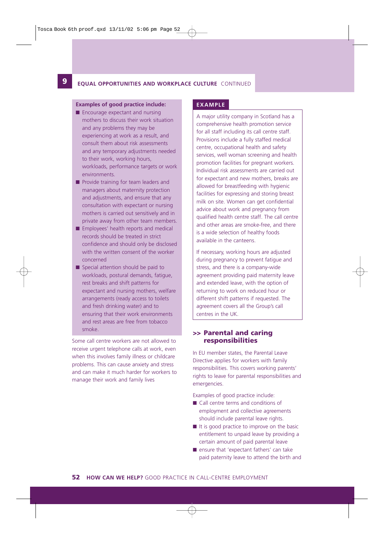#### **9 EQUAL OPPORTUNITIES AND WORKPLACE CULTURE** CONTINUED

#### **Examples of good practice include:**

**12**

- Encourage expectant and nursing mothers to discuss their work situation and any problems they may be experiencing at work as a result, and consult them about risk assessments and any temporary adjustments needed to their work, working hours, workloads, performance targets or work environments.
- Provide training for team leaders and managers about maternity protection and adjustments, and ensure that any consultation with expectant or nursing mothers is carried out sensitively and in private away from other team members.
- Employees' health reports and medical records should be treated in strict confidence and should only be disclosed with the written consent of the worker concerned
- Special attention should be paid to workloads, postural demands, fatigue, rest breaks and shift patterns for expectant and nursing mothers, welfare arrangements (ready access to toilets and fresh drinking water) and to ensuring that their work environments and rest areas are free from tobacco smoke.

Some call centre workers are not allowed to receive urgent telephone calls at work, even when this involves family illness or childcare problems. This can cause anxiety and stress and can make it much harder for workers to manage their work and family lives

#### **EXAMPLE**

A major utility company in Scotland has a comprehensive health promotion service for all staff including its call centre staff. Provisions include a fully staffed medical centre, occupational health and safety services, well woman screening and health promotion facilities for pregnant workers. Individual risk assessments are carried out for expectant and new mothers, breaks are allowed for breastfeeding with hygienic facilities for expressing and storing breast milk on site. Women can get confidential advice about work and pregnancy from qualified health centre staff. The call centre and other areas are smoke-free, and there is a wide selection of healthy foods available in the canteens.

If necessary, working hours are adjusted during pregnancy to prevent fatigue and stress, and there is a company-wide agreement providing paid maternity leave and extended leave, with the option of returning to work on reduced hour or different shift patterns if requested. The agreement covers all the Group's call centres in the UK.

#### **>> Parental and caring responsibilities**

In EU member states, the Parental Leave Directive applies for workers with family responsibilities. This covers working parents' rights to leave for parental responsibilities and emergencies.

Examples of good practice include:

- Call centre terms and conditions of employment and collective agreements should include parental leave rights.
- It is good practice to improve on the basic entitlement to unpaid leave by providing a certain amount of paid parental leave
- ensure that 'expectant fathers' can take paid paternity leave to attend the birth and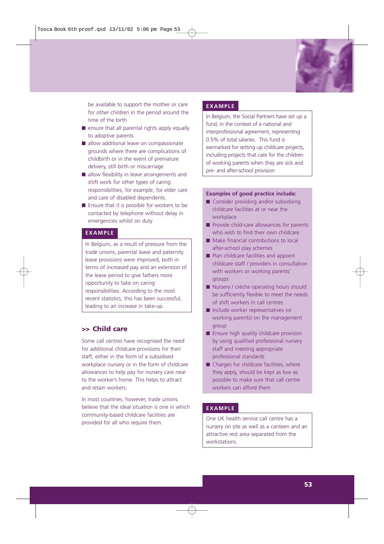

be available to support the mother or care for other children in the period around the time of the birth

- ensure that all parental rights apply equally to adoptive parents
- allow additional leave on compassionate grounds where there are complications of childbirth or in the event of premature delivery, still birth or miscarriage
- allow flexibility in leave arrangements and shift work for other types of caring responsibilities, for example, for elder care and care of disabled dependents.
- Ensure that it is possible for workers to be contacted by telephone without delay in emergencies whilst on duty

#### **EXAMPLE**

In Belgium, as a result of pressure from the trade unions, parental leave and paternity leave provisions were improved, both in terms of increased pay and an extension of the leave period to give fathers more opportunity to take on caring responsibilities. According to the most recent statistics, this has been successful, leading to an increase in take-up.

# **>> Child care**

Some call centres have recognised the need for additional childcare provisions for their staff, either in the form of a subsidised workplace nursery or in the form of childcare allowances to help pay for nursery care near to the worker's home. This helps to attract and retain workers.

In most countries, however, trade unions believe that the ideal situation is one in which community-based childcare facilities are provided for all who require them.

#### **EXAMPLE**

In Belgium, the Social Partners have set up a fund, in the context of a national and interprofessional agreement, representing 0.5% of total salaries. This fund is earmarked for setting up childcare projects, including projects that care for the children of working parents when they are sick and pre- and after-school provision

#### **Examples of good practice include:**

- Consider providing and/or subsidising childcare facilities at or near the workplace
- Provide child-care allowances for parents who wish to find their own childcare
- Make financial contributions to local after-school play schemes
- Plan childcare facilities and appoint childcare staff / providers in consultation with workers or working parents' groups
- Nursery / crèche operating hours should be sufficiently flexible to meet the needs of shift workers in call centres
- Include worker representatives (or working parents) on the management group
- Ensure high quality childcare provision by using qualified professional nursery staff and meeting appropriate professional standards
- Charges for childcare facilities, where they apply, should be kept as low as possible to make sure that call centre workers can afford them

# **EXAMPLE**

One UK health service call centre has a nursery on site as well as a canteen and an attractive rest area separated from the workstations.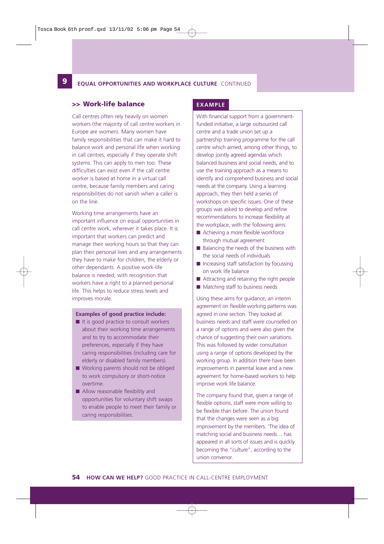#### **12 9 EQUAL OPPORTUNITIES AND WORKPLACE CULTURE** CONTINUED

#### **>> Work-life balance**

Call centres often rely heavily on women workers (the majority of call centre workers in Europe are women). Many women have family responsibilities that can make it hard to balance work and personal life when working in call centres, especially if they operate shift systems. This can apply to men too. These difficulties can exist even if the call centre worker is based at home in a virtual call centre, because family members and caring responsibilities do not vanish when a caller is on the line.

Working time arrangements have an important influence on equal opportunities in call centre work, wherever it takes place. It is important that workers can predict and manage their working hours so that they can plan their personal lives and any arrangements they have to make for children, the elderly or other dependants. A positive work-life balance is needed, with recognition that workers have a right to a planned personal life. This helps to reduce stress levels and improves morale.

#### **Examples of good practice include:**

- It is good practice to consult workers about their working time arrangements and to try to accommodate their preferences, especially if they have caring responsibilities (including care for elderly or disabled family members).
- Working parents should not be obliged to work compulsory or short-notice overtime.
- Allow reasonable flexibility and opportunities for voluntary shift swaps to enable people to meet their family or caring responsibilities.

#### **EXAMPLE**

With financial support from a governmentfunded initiative, a large outsourced call centre and a trade union set up a partnership training programme for the call centre which aimed, among other things, to develop jointly agreed agendas which balanced business and social needs, and to use the training approach as a means to identify and comprehend business and social needs at the company. Using a learning approach, they then held a series of workshops on specific issues. One of these groups was asked to develop and refine recommendations to increase flexibility at the workplace, with the following aims:

- Achieving a more flexible workforce through mutual agreement
- Balancing the needs of the business with the social needs of individuals
- Increasing staff satisfaction by focussing on work life balance
- Attracting and retaining the right people
- Matching staff to business needs

Using these aims for guidance, an interim agreement on flexible working patterns was agreed in one section. They looked at business needs and staff were counselled on a range of options and were also given the chance of suggesting their own variations. This was followed by wider consultation using a range of options developed by the working group. In addition there have been improvements in parental leave and a new agreement for home-based workers to help improve work life balance.

The company found that, given a range of flexible options, staff were more willing to be flexible than before. The union found that the changes were seen as a big improvement by the members. 'The idea of matching social and business needs… has appeared in all sorts of issues and is quickly becoming the "culture", according to the union convenor.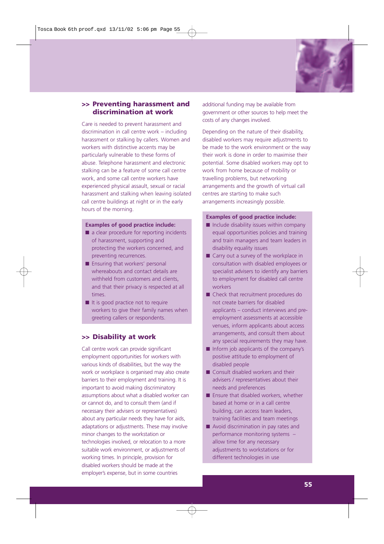

## **>> Preventing harassment and discrimination at work**

Care is needed to prevent harassment and discrimination in call centre work – including harassment or stalking by callers. Women and workers with distinctive accents may be particularly vulnerable to these forms of abuse. Telephone harassment and electronic stalking can be a feature of some call centre work, and some call centre workers have experienced physical assault, sexual or racial harassment and stalking when leaving isolated call centre buildings at night or in the early hours of the morning.

#### **Examples of good practice include:**

- a clear procedure for reporting incidents of harassment, supporting and protecting the workers concerned, and preventing recurrences.
- Ensuring that workers' personal whereabouts and contact details are withheld from customers and clients, and that their privacy is respected at all times.
- It is good practice not to require workers to give their family names when greeting callers or respondents.

# **>> Disability at work**

Call centre work can provide significant employment opportunities for workers with various kinds of disabilities, but the way the work or workplace is organised may also create barriers to their employment and training. It is important to avoid making discriminatory assumptions about what a disabled worker can or cannot do, and to consult them (and if necessary their advisers or representatives) about any particular needs they have for aids, adaptations or adjustments. These may involve minor changes to the workstation or technologies involved, or relocation to a more suitable work environment, or adjustments of working times. In principle, provision for disabled workers should be made at the employer's expense, but in some countries

additional funding may be available from government or other sources to help meet the costs of any changes involved.

Depending on the nature of their disability, disabled workers may require adjustments to be made to the work environment or the way their work is done in order to maximise their potential. Some disabled workers may opt to work from home because of mobility or travelling problems, but networking arrangements and the growth of virtual call centres are starting to make such arrangements increasingly possible.

#### **Examples of good practice include:**

- Include disability issues within company equal opportunities policies and training and train managers and team leaders in disability equality issues
- Carry out a survey of the workplace in consultation with disabled employees or specialist advisers to identify any barriers to employment for disabled call centre workers
- Check that recruitment procedures do not create barriers for disabled applicants – conduct interviews and preemployment assessments at accessible venues, inform applicants about access arrangements, and consult them about any special requirements they may have.
- Inform job applicants of the company's positive attitude to employment of disabled people
- Consult disabled workers and their advisers / representatives about their needs and preferences
- Ensure that disabled workers, whether based at home or in a call centre building, can access team leaders, training facilities and team meetings
- Avoid discrimination in pay rates and performance monitoring systems – allow time for any necessary adjustments to workstations or for different technologies in use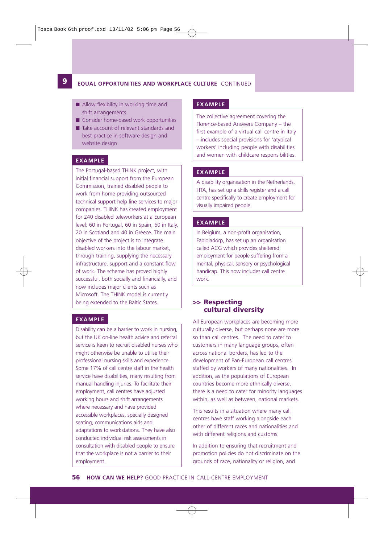#### **9 EQUAL OPPORTUNITIES AND WORKPLACE CULTURE** CONTINUED

- Allow flexibility in working time and shift arrangements
- Consider home-based work opportunities
- Take account of relevant standards and best practice in software design and website design

#### **EXAMPLE**

**12**

The Portugal-based THINK project, with initial financial support from the European Commission, trained disabled people to work from home providing outsourced technical support help line services to major companies. THINK has created employment for 240 disabled teleworkers at a European level: 60 in Portugal, 60 in Spain, 60 in Italy, 20 in Scotland and 40 in Greece. The main objective of the project is to integrate disabled workers into the labour market, through training, supplying the necessary infrastructure, support and a constant flow of work. The scheme has proved highly successful, both socially and financially, and now includes major clients such as Microsoft. The THINK model is currently being extended to the Baltic States.

#### **EXAMPLE**

Disability can be a barrier to work in nursing, but the UK on-line health advice and referral service is keen to recruit disabled nurses who might otherwise be unable to utilise their professional nursing skills and experience. Some 17% of call centre staff in the health service have disabilities, many resulting from manual handling injuries. To facilitate their employment, call centres have adjusted working hours and shift arrangements where necessary and have provided accessible workplaces, specially designed seating, communications aids and adaptations to workstations. They have also conducted individual risk assessments in consultation with disabled people to ensure that the workplace is not a barrier to their employment.

#### **EXAMPLE**

The collective agreement covering the Florence-based Answers Company – the first example of a virtual call centre in Italy – includes special provisions for 'atypical workers' including people with disabilities and women with childcare responsibilities.

#### **EXAMPLE**

A disability organisation in the Netherlands, HTA, has set up a skills register and a call centre specifically to create employment for visually impaired people.

#### **EXAMPLE**

In Belgium, a non-profit organisation, Fabioladorp, has set up an organisation called ACG which provides sheltered employment for people suffering from a mental, physical, sensory or psychological handicap. This now includes call centre work.

## **>> Respecting cultural diversity**

All European workplaces are becoming more culturally diverse, but perhaps none are more so than call centres. The need to cater to customers in many language groups, often across national borders, has led to the development of Pan-European call centres staffed by workers of many nationalities. In addition, as the populations of European countries become more ethnically diverse, there is a need to cater for minority languages within, as well as between, national markets.

This results in a situation where many call centres have staff working alongside each other of different races and nationalities and with different religions and customs.

In addition to ensuring that recruitment and promotion policies do not discriminate on the grounds of race, nationality or religion, and

**56 HOW CAN WE HELP?** GOOD PRACTICE IN CALL-CENTRE EMPLOYMENT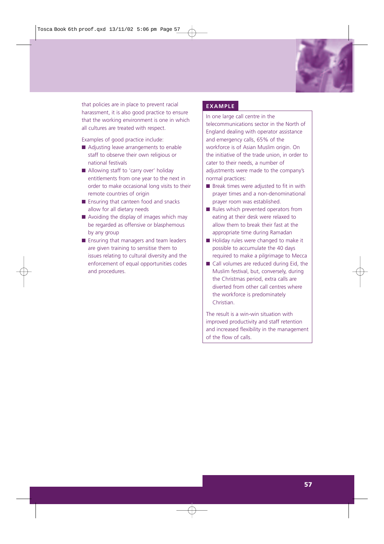

that policies are in place to prevent racial harassment, it is also good practice to ensure that the working environment is one in which all cultures are treated with respect.

Examples of good practice include:

- Adjusting leave arrangements to enable staff to observe their own religious or national festivals
- Allowing staff to 'carry over' holiday entitlements from one year to the next in order to make occasional long visits to their remote countries of origin
- Ensuring that canteen food and snacks allow for all dietary needs
- Avoiding the display of images which may be regarded as offensive or blasphemous by any group
- Ensuring that managers and team leaders are given training to sensitise them to issues relating to cultural diversity and the enforcement of equal opportunities codes and procedures.

#### **EXAMPLE**

In one large call centre in the telecommunications sector in the North of England dealing with operator assistance and emergency calls, 65% of the workforce is of Asian Muslim origin. On the initiative of the trade union, in order to cater to their needs, a number of adjustments were made to the company's normal practices:

- Break times were adjusted to fit in with prayer times and a non-denominational prayer room was established.
- Rules which prevented operators from eating at their desk were relaxed to allow them to break their fast at the appropriate time during Ramadan
- Holiday rules were changed to make it possible to accumulate the 40 days required to make a pilgrimage to Mecca
- Call volumes are reduced during Eid, the Muslim festival, but, conversely, during the Christmas period, extra calls are diverted from other call centres where the workforce is predominately Christian.

The result is a win-win situation with improved productivity and staff retention and increased flexibility in the management of the flow of calls.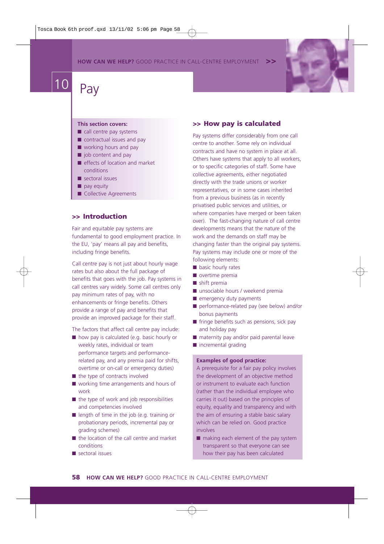**HOW CAN WE HELP?** GOOD PRACTICE IN CALL-CENTRE EMPLOYMENT



# $\begin{array}{|c|c|c|}\n\hline\n10 & \text{Pay}\n\end{array}$

#### **This section covers:**

- $\blacksquare$  call centre pay systems
- contractual issues and pay
- working hours and pay
- job content and pay
- effects of location and market conditions
- sectoral issues
- pay equity
- Collective Agreements

## **>> Introduction**

Fair and equitable pay systems are fundamental to good employment practice. In the EU, 'pay' means all pay and benefits, including fringe benefits.

Call centre pay is not just about hourly wage rates but also about the full package of benefits that goes with the job. Pay systems in call centres vary widely. Some call centres only pay minimum rates of pay, with no enhancements or fringe benefits. Others provide a range of pay and benefits that provide an improved package for their staff.

The factors that affect call centre pay include:

- how pay is calculated (e.g. basic hourly or weekly rates, individual or team performance targets and performancerelated pay, and any premia paid for shifts, overtime or on-call or emergency duties) ■ the type of contracts involved
- 
- working time arrangements and hours of work
- the type of work and job responsibilities and competencies involved
- length of time in the job (e.g. training or probationary periods, incremental pay or grading schemes)
- the location of the call centre and market conditions
- sectoral issues

#### **>> How pay is calculated**

Pay systems differ considerably from one call centre to another. Some rely on individual contracts and have no system in place at all. Others have systems that apply to all workers, or to specific categories of staff. Some have collective agreements, either negotiated directly with the trade unions or worker representatives, or in some cases inherited from a previous business (as in recently privatised public services and utilities, or where companies have merged or been taken over). The fast-changing nature of call centre developments means that the nature of the work and the demands on staff may be changing faster than the original pay systems. Pay systems may include one or more of the following elements:

- basic hourly rates
- overtime premia
- shift premia
- unsociable hours / weekend premia
- emergency duty payments
- performance-related pay (see below) and/or bonus payments
- fringe benefits such as pensions, sick pay and holiday pay
- maternity pay and/or paid parental leave
- incremental grading

## **Examples of good practice:**

A prerequisite for a fair pay policy involves the development of an objective method or instrument to evaluate each function (rather than the individual employee who carries it out) based on the principles of equity, equality and transparency and with the aim of ensuring a stable basic salary which can be relied on. Good practice involves

■ making each element of the pay system transparent so that everyone can see how their pay has been calculated

**58 HOW CAN WE HELP?** GOOD PRACTICE IN CALL-CENTRE EMPLOYMENT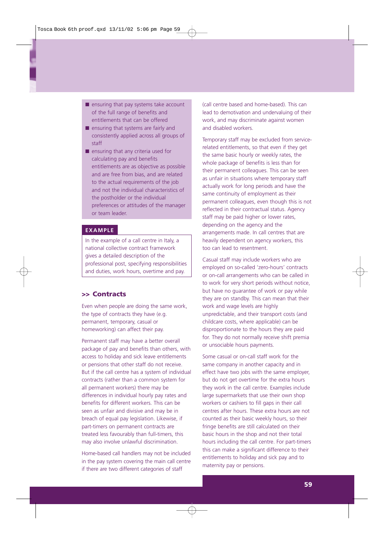- ensuring that pay systems take account of the full range of benefits and entitlements that can be offered
- ensuring that systems are fairly and consistently applied across all groups of staff
- ensuring that any criteria used for calculating pay and benefits entitlements are as objective as possible and are free from bias, and are related to the actual requirements of the job and not the individual characteristics of the postholder or the individual preferences or attitudes of the manager or team leader.

#### **EXAMPLE**

In the example of a call centre in Italy, a national collective contract framework gives a detailed description of the professional post, specifying responsibilities and duties, work hours, overtime and pay.

## **>> Contracts**

Even when people are doing the same work, the type of contracts they have (e.g. permanent, temporary, casual or homeworking) can affect their pay.

Permanent staff may have a better overall package of pay and benefits than others, with access to holiday and sick leave entitlements or pensions that other staff do not receive. But if the call centre has a system of individual contracts (rather than a common system for all permanent workers) there may be differences in individual hourly pay rates and benefits for different workers. This can be seen as unfair and divisive and may be in breach of equal pay legislation. Likewise, if part-timers on permanent contracts are treated less favourably than full-timers, this may also involve unlawful discrimination.

Home-based call handlers may not be included in the pay system covering the main call centre if there are two different categories of staff

(call centre based and home-based). This can lead to demotivation and undervaluing of their work, and may discriminate against women and disabled workers.

Temporary staff may be excluded from servicerelated entitlements, so that even if they get the same basic hourly or weekly rates, the whole package of benefits is less than for their permanent colleagues. This can be seen as unfair in situations where temporary staff actually work for long periods and have the same continuity of employment as their permanent colleagues, even though this is not reflected in their contractual status. Agency staff may be paid higher or lower rates, depending on the agency and the arrangements made. In call centres that are heavily dependent on agency workers, this too can lead to resentment.

Casual staff may include workers who are employed on so-called 'zero-hours' contracts or on-call arrangements who can be called in to work for very short periods without notice, but have no guarantee of work or pay while they are on standby. This can mean that their work and wage levels are highly unpredictable, and their transport costs (and childcare costs, where applicable) can be disproportionate to the hours they are paid for. They do not normally receive shift premia or unsociable hours payments.

Some casual or on-call staff work for the same company in another capacity and in effect have two jobs with the same employer, but do not get overtime for the extra hours they work in the call centre. Examples include large supermarkets that use their own shop workers or cashiers to fill gaps in their call centres after hours. These extra hours are not counted as their basic weekly hours, so their fringe benefits are still calculated on their basic hours in the shop and not their total hours including the call centre. For part-timers this can make a significant difference to their entitlements to holiday and sick pay and to maternity pay or pensions.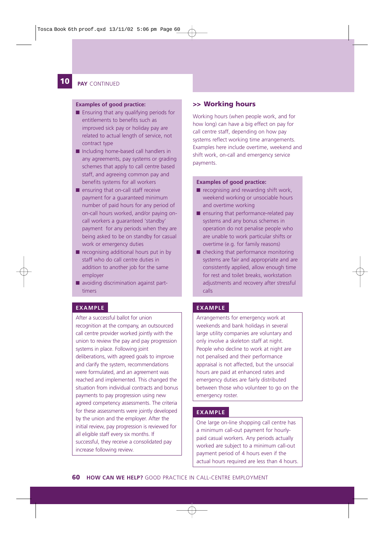#### **12 10 PAY** CONTINUED

#### **Examples of good practice:**

- Ensuring that any qualifying periods for entitlements to benefits such as improved sick pay or holiday pay are related to actual length of service, not contract type
- Including home-based call handlers in any agreements, pay systems or grading schemes that apply to call centre based staff, and agreeing common pay and benefits systems for all workers
- ensuring that on-call staff receive payment for a guaranteed minimum number of paid hours for any period of on-call hours worked, and/or paying oncall workers a guaranteed 'standby' payment for any periods when they are being asked to be on standby for casual work or emergency duties
- recognising additional hours put in by staff who do call centre duties in addition to another job for the same employer
- avoiding discrimination against parttimers

#### **EXAMPLE EXAMPLE**

After a successful ballot for union recognition at the company, an outsourced call centre provider worked jointly with the union to review the pay and pay progression systems in place. Following joint deliberations, with agreed goals to improve and clarify the system, recommendations were formulated, and an agreement was reached and implemented. This changed the situation from individual contracts and bonus payments to pay progression using new agreed competency assessments. The criteria for these assessments were jointly developed by the union and the employer. After the initial review, pay progression is reviewed for all eligible staff every six months. If successful, they receive a consolidated pay increase following review.

#### **>> Working hours**

Working hours (when people work, and for how long) can have a big effect on pay for call centre staff, depending on how pay systems reflect working time arrangements. Examples here include overtime, weekend and shift work, on-call and emergency service payments.

#### **Examples of good practice:**

- $\blacksquare$  recognising and rewarding shift work, weekend working or unsociable hours and overtime working
- ensuring that performance-related pay systems and any bonus schemes in operation do not penalise people who are unable to work particular shifts or overtime (e.g. for family reasons)
- checking that performance monitoring systems are fair and appropriate and are consistently applied, allow enough time for rest and toilet breaks, workstation adjustments and recovery after stressful calls

Arrangements for emergency work at weekends and bank holidays in several large utility companies are voluntary and only involve a skeleton staff at night. People who decline to work at night are not penalised and their performance appraisal is not affected, but the unsocial hours are paid at enhanced rates and emergency duties are fairly distributed between those who volunteer to go on the emergency roster.

#### **EXAMPLE**

One large on-line shopping call centre has a minimum call-out payment for hourlypaid casual workers. Any periods actually worked are subject to a minimum call-out payment period of 4 hours even if the actual hours required are less than 4 hours.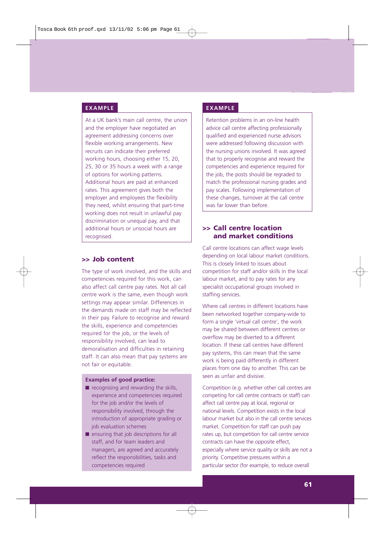At a UK bank's main call centre, the union and the employer have negotiated an agreement addressing concerns over flexible working arrangements. New recruits can indicate their preferred working hours, choosing either 15, 20, 25, 30 or 35 hours a week with a range of options for working patterns. Additional hours are paid at enhanced rates. This agreement gives both the employer and employees the flexibility they need, whilst ensuring that part-time working does not result in unlawful pay discrimination or unequal pay, and that additional hours or unsocial hours are recognised.

#### **>> Job content**

The type of work involved, and the skills and competencies required for this work, can also affect call centre pay rates. Not all call centre work is the same, even though work settings may appear similar. Differences in the demands made on staff may be reflected in their pay. Failure to recognise and reward the skills, experience and competencies required for the job, or the levels of responsibility involved, can lead to demoralisation and difficulties in retaining staff. It can also mean that pay systems are not fair or equitable.

#### **Examples of good practice:**

- $\blacksquare$  recognising and rewarding the skills, experience and competencies required for the job and/or the levels of responsibility involved, through the introduction of appropriate grading or job evaluation schemes
- ensuring that job descriptions for all staff, and for team leaders and managers, are agreed and accurately reflect the responsibilities, tasks and competencies required

#### **EXAMPLE EXAMPLE**

Retention problems in an on-line health advice call centre affecting professionally qualified and experienced nurse advisors were addressed following discussion with the nursing unions involved. It was agreed that to properly recognise and reward the competencies and experience required for the job, the posts should be regraded to match the professional nursing grades and pay scales. Following implementation of these changes, turnover at the call centre was far lower than before.

### **>> Call centre location and market conditions**

Call centre locations can affect wage levels depending on local labour market conditions. This is closely linked to issues about competition for staff and/or skills in the local labour market, and to pay rates for any specialist occupational groups involved in staffing services.

Where call centres in different locations have been networked together company-wide to form a single 'virtual call centre', the work may be shared between different centres or overflow may be diverted to a different location. If these call centres have different pay systems, this can mean that the same work is being paid differently in different places from one day to another. This can be seen as unfair and divisive.

Competition (e.g. whether other call centres are competing for call centre contracts or staff) can affect call centre pay at local, regional or national levels. Competition exists in the local labour market but also in the call centre services market. Competition for staff can push pay rates up, but competition for call centre service contracts can have the opposite effect, especially where service quality or skills are not a priority. Competitive pressures within a particular sector (for example, to reduce overall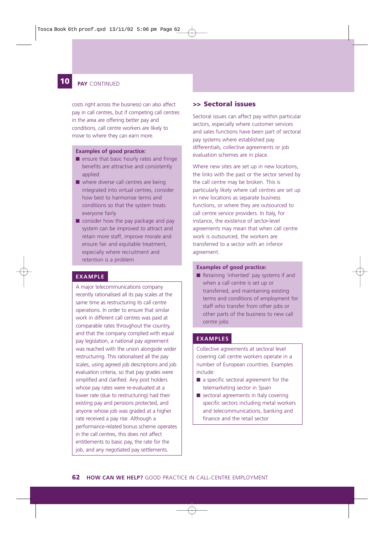#### **12 10 PAY** CONTINUED

costs right across the business) can also affect pay in call centres, but if competing call centres in the area are offering better pay and conditions, call centre workers are likely to move to where they can earn more.

#### **Examples of good practice:**

- ensure that basic hourly rates and fringe benefits are attractive and consistently applied
- where diverse call centres are being integrated into virtual centres, consider how best to harmonise terms and conditions so that the system treats everyone fairly
- consider how the pay package and pay system can be improved to attract and retain more staff, improve morale and ensure fair and equitable treatment, especially where recruitment and retention is a problem

#### **EXAMPLE**

A major telecommunications company recently rationalised all its pay scales at the same time as restructuring its call centre operations. In order to ensure that similar work in different call centres was paid at comparable rates throughout the country, and that the company complied with equal pay legislation, a national pay agreement was reached with the union alongside wider restructuring. This rationalised all the pay scales, using agreed job descriptions and job evaluation criteria, so that pay grades were simplified and clarified. Any post holders whose pay rates were re-evaluated at a lower rate (due to restructuring) had their existing pay and pensions protected, and anyone whose job was graded at a higher rate received a pay rise. Although a performance-related bonus scheme operates in the call centres, this does not affect entitlements to basic pay, the rate for the job, and any negotiated pay settlements.

#### **>> Sectoral issues**

Sectoral issues can affect pay within particular sectors, especially where customer services and sales functions have been part of sectoral pay systems where established pay differentials, collective agreements or job evaluation schemes are in place.

Where new sites are set up in new locations, the links with the past or the sector served by the call centre may be broken. This is particularly likely where call centres are set up in new locations as separate business functions, or where they are outsourced to call centre service providers. In Italy, for instance, the existence of sector-level agreements may mean that when call centre work is outsourced, the workers are transferred to a sector with an inferior agreement.

#### **Examples of good practice:**

■ Retaining 'inherited' pay systems if and when a call centre is set up or transferred, and maintaining existing terms and conditions of employment for staff who transfer from other jobs or other parts of the business to new call centre jobs

#### **EXAMPLES**

Collective agreements at sectoral level covering call centre workers operate in a number of European countries. Examples include:

- a specific sectoral agreement for the telemarketing sector in Spain
- sectoral agreements in Italy covering specific sectors including metal workers and telecommunications, banking and finance and the retail sector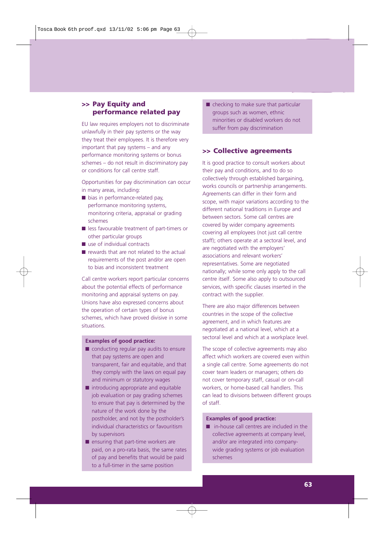## **>> Pay Equity and performance related pay**

EU law requires employers not to discriminate unlawfully in their pay systems or the way they treat their employees. It is therefore very important that pay systems – and any performance monitoring systems or bonus schemes – do not result in discriminatory pay or conditions for call centre staff.

Opportunities for pay discrimination can occur in many areas, including:

- bias in performance-related pay, performance monitoring systems, monitoring criteria, appraisal or grading schemes
- less favourable treatment of part-timers or other particular groups
- use of individual contracts
- rewards that are not related to the actual requirements of the post and/or are open to bias and inconsistent treatment

Call centre workers report particular concerns about the potential effects of performance monitoring and appraisal systems on pay. Unions have also expressed concerns about the operation of certain types of bonus schemes, which have proved divisive in some situations.

#### **Examples of good practice:**

- conducting regular pay audits to ensure that pay systems are open and transparent, fair and equitable, and that they comply with the laws on equal pay and minimum or statutory wages
- introducing appropriate and equitable job evaluation or pay grading schemes to ensure that pay is determined by the nature of the work done by the postholder, and not by the postholder's individual characteristics or favouritism by supervisors
- ensuring that part-time workers are paid, on a pro-rata basis, the same rates of pay and benefits that would be paid to a full-timer in the same position

■ checking to make sure that particular groups such as women, ethnic minorities or disabled workers do not suffer from pay discrimination

#### **>> Collective agreements**

It is good practice to consult workers about their pay and conditions, and to do so collectively through established bargaining, works councils or partnership arrangements. Agreements can differ in their form and scope, with major variations according to the different national traditions in Europe and between sectors. Some call centres are covered by wider company agreements covering all employees (not just call centre staff); others operate at a sectoral level, and are negotiated with the employers' associations and relevant workers' representatives. Some are negotiated nationally; while some only apply to the call centre itself. Some also apply to outsourced services, with specific clauses inserted in the contract with the supplier.

There are also major differences between countries in the scope of the collective agreement, and in which features are negotiated at a national level, which at a sectoral level and which at a workplace level.

The scope of collective agreements may also affect which workers are covered even within a single call centre. Some agreements do not cover team leaders or managers; others do not cover temporary staff, casual or on-call workers, or home-based call handlers. This can lead to divisions between different groups of staff.

#### **Examples of good practice:**

■ in-house call centres are included in the collective agreements at company level, and/or are integrated into companywide grading systems or job evaluation schemes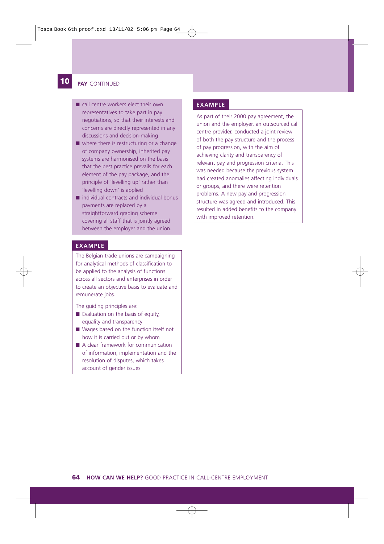#### **12 10 PAY** CONTINUED

- call centre workers elect their own representatives to take part in pay negotiations, so that their interests and concerns are directly represented in any discussions and decision-making
- where there is restructuring or a change of company ownership, inherited pay systems are harmonised on the basis that the best practice prevails for each element of the pay package, and the principle of 'levelling up' rather than 'levelling down' is applied
- individual contracts and individual bonus payments are replaced by a straightforward grading scheme covering all staff that is jointly agreed between the employer and the union.

#### **EXAMPLE**

The Belgian trade unions are campaigning for analytical methods of classification to be applied to the analysis of functions across all sectors and enterprises in order to create an objective basis to evaluate and remunerate jobs.

The guiding principles are:

- Evaluation on the basis of equity, equality and transparency
- Wages based on the function itself not how it is carried out or by whom
- A clear framework for communication of information, implementation and the resolution of disputes, which takes account of gender issues

#### **EXAMPLE**

As part of their 2000 pay agreement, the union and the employer, an outsourced call centre provider, conducted a joint review of both the pay structure and the process of pay progression, with the aim of achieving clarity and transparency of relevant pay and progression criteria. This was needed because the previous system had created anomalies affecting individuals or groups, and there were retention problems. A new pay and progression structure was agreed and introduced. This resulted in added benefits to the company with improved retention.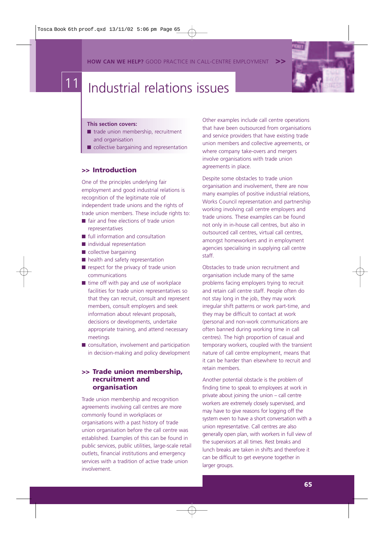**HOW CAN WE HELP?** GOOD PRACTICE IN CALL-CENTRE EMPLOYMENT



# Industrial relations issues

#### **This section covers:**

- trade union membership, recruitment and organisation
- collective bargaining and representation

#### **>> Introduction**

One of the principles underlying fair employment and good industrial relations is recognition of the legitimate role of independent trade unions and the rights of trade union members. These include rights to:

- fair and free elections of trade union representatives
- full information and consultation
- individual representation
- collective bargaining
- health and safety representation
- respect for the privacy of trade union communications
- time off with pay and use of workplace facilities for trade union representatives so that they can recruit, consult and represent members, consult employers and seek information about relevant proposals, decisions or developments, undertake appropriate training, and attend necessary meetings
- consultation, involvement and participation in decision-making and policy development

## **>> Trade union membership, recruitment and organisation**

Trade union membership and recognition agreements involving call centres are more commonly found in workplaces or organisations with a past history of trade union organisation before the call centre was established. Examples of this can be found in public services, public utilities, large-scale retail outlets, financial institutions and emergency services with a tradition of active trade union involvement.

Other examples include call centre operations that have been outsourced from organisations and service providers that have existing trade union members and collective agreements, or where company take-overs and mergers involve organisations with trade union agreements in place.

Despite some obstacles to trade union organisation and involvement, there are now many examples of positive industrial relations, Works Council representation and partnership working involving call centre employers and trade unions. These examples can be found not only in in-house call centres, but also in outsourced call centres, virtual call centres, amongst homeworkers and in employment agencies specialising in supplying call centre staff.

Obstacles to trade union recruitment and organisation include many of the same problems facing employers trying to recruit and retain call centre staff. People often do not stay long in the job, they may work irregular shift patterns or work part-time, and they may be difficult to contact at work (personal and non-work communications are often banned during working time in call centres). The high proportion of casual and temporary workers, coupled with the transient nature of call centre employment, means that it can be harder than elsewhere to recruit and retain members.

Another potential obstacle is the problem of finding time to speak to employees at work in private about joining the union – call centre workers are extremely closely supervised, and may have to give reasons for logging off the system even to have a short conversation with a union representative. Call centres are also generally open plan, with workers in full view of the supervisors at all times. Rest breaks and lunch breaks are taken in shifts and therefore it can be difficult to get everyone together in larger groups.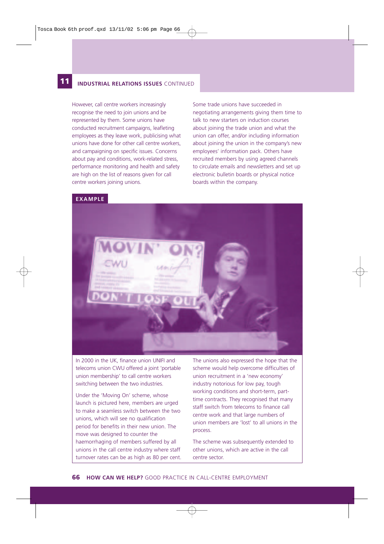#### **12 11 INDUSTRIAL RELATIONS ISSUES** CONTINUED

However, call centre workers increasingly recognise the need to join unions and be represented by them. Some unions have conducted recruitment campaigns, leafleting employees as they leave work, publicising what unions have done for other call centre workers, and campaigning on specific issues. Concerns about pay and conditions, work-related stress, performance monitoring and health and safety are high on the list of reasons given for call centre workers joining unions.

Some trade unions have succeeded in negotiating arrangements giving them time to talk to new starters on induction courses about joining the trade union and what the union can offer, and/or including information about joining the union in the company's new employees' information pack. Others have recruited members by using agreed channels to circulate emails and newsletters and set up electronic bulletin boards or physical notice boards within the company.

#### **EXAMPLE**



In 2000 in the UK, finance union UNIFI and telecoms union CWU offered a joint 'portable union membership' to call centre workers switching between the two industries.

Under the 'Moving On' scheme, whose launch is pictured here, members are urged to make a seamless switch between the two unions, which will see no qualification period for benefits in their new union. The move was designed to counter the haemorrhaging of members suffered by all unions in the call centre industry where staff turnover rates can be as high as 80 per cent.

The unions also expressed the hope that the scheme would help overcome difficulties of union recruitment in a 'new economy' industry notorious for low pay, tough working conditions and short-term, parttime contracts. They recognised that many staff switch from telecoms to finance call centre work and that large numbers of union members are 'lost' to all unions in the process.

The scheme was subsequently extended to other unions, which are active in the call centre sector.

**66 HOW CAN WE HELP?** GOOD PRACTICE IN CALL-CENTRE EMPLOYMENT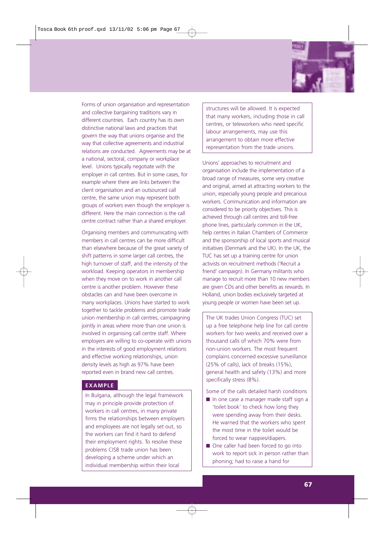

Forms of union organisation and representation and collective bargaining traditions vary in different countries. Each country has its own distinctive national laws and practices that govern the way that unions organise and the way that collective agreements and industrial relations are conducted. Agreements may be at a national, sectoral, company or workplace level. Unions typically negotiate with the employer in call centres. But in some cases, for example where there are links between the client organisation and an outsourced call centre, the same union may represent both groups of workers even though the employer is different. Here the main connection is the call centre contract rather than a shared employer.

Organising members and communicating with members in call centres can be more difficult than elsewhere because of the great variety of shift patterns in some larger call centres, the high turnover of staff, and the intensity of the workload. Keeping operators in membership when they move on to work in another call centre is another problem. However these obstacles can and have been overcome in many workplaces. Unions have started to work together to tackle problems and promote trade union membership in call centres, campaigning jointly in areas where more than one union is involved in organising call centre staff. Where employers are willing to co-operate with unions in the interests of good employment relations and effective working relationships, union density levels as high as 97% have been reported even in brand new call centres.

## **EXAMPLE**

In Bulgaria, although the legal framework may in principle provide protection of workers in call centres, in many private firms the relationships between employers and employees are not legally set out, so the workers can find it hard to defend their employment rights. To resolve these problems CISB trade union has been developing a scheme under which an individual membership within their local

structures will be allowed. It is expected that many workers, including those in call centres, or teleworkers who need specific labour arrangements, may use this arrangement to obtain more effective representation from the trade unions.

Unions' approaches to recruitment and organisation include the implementation of a broad range of measures, some very creative and original, aimed at attracting workers to the union, especially young people and precarious workers. Communication and information are considered to be priority objectives. This is achieved through call centres and toll-free phone lines, particularly common in the UK, help centres in Italian Chambers of Commerce and the sponsorship of local sports and musical initiatives (Denmark and the UK). In the UK, the TUC has set up a training centre for union activists on recruitment methods ('Recruit a friend' campaign). In Germany militants who manage to recruit more than 10 new members are given CDs and other benefits as rewards. In Holland, union bodies exclusively targeted at young people or women have been set up.

The UK trades Union Congress (TUC) set up a free telephone help line for call centre workers for two weeks and received over a thousand calls of which 70% were from non-union workers. The most frequent complains concerned excessive surveillance (25% of calls), lack of breaks (15%), general health and safety (13%) and more specifically stress (8%).

Some of the calls detailed harsh conditions

- In one case a manager made staff sign a 'toilet book' to check how long they were spending away from their desks. He warned that the workers who spent the most time in the toilet would be forced to wear nappies/diapers.
- One caller had been forced to go into work to report sick in person rather than phoning; had to raise a hand for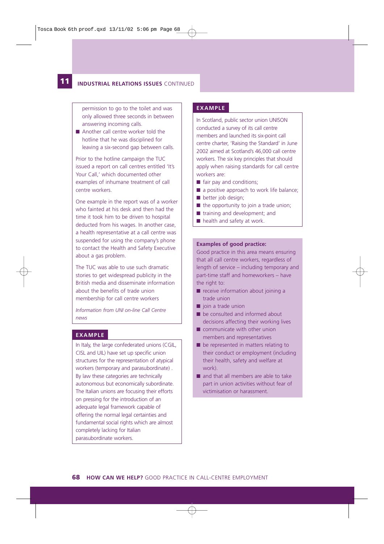#### **12 11 INDUSTRIAL RELATIONS ISSUES** CONTINUED

permission to go to the toilet and was only allowed three seconds in between answering incoming calls.

■ Another call centre worker told the hotline that he was disciplined for leaving a six-second gap between calls.

Prior to the hotline campaign the TUC issued a report on call centres entitled 'It's Your Call,' which documented other examples of inhumane treatment of call centre workers.

One example in the report was of a worker who fainted at his desk and then had the time it took him to be driven to hospital deducted from his wages. In another case, a health representative at a call centre was suspended for using the company's phone to contact the Health and Safety Executive about a gas problem.

The TUC was able to use such dramatic stories to get widespread publicity in the British media and disseminate information about the benefits of trade union membership for call centre workers

*Information from UNI on-line Call Centre news* 

#### **EXAMPLE**

In Italy, the large confederated unions (CGIL, CISL and UIL) have set up specific union structures for the representation of atypical workers (temporary and parasubordinate) . By law these categories are technically autonomous but economically subordinate. The Italian unions are focusing their efforts on pressing for the introduction of an adequate legal framework capable of offering the normal legal certainties and fundamental social rights which are almost completely lacking for Italian parasubordinate workers.

# **EXAMPLE**

In Scotland, public sector union UNISON conducted a survey of its call centre members and launched its six-point call centre charter, 'Raising the Standard' in June 2002 aimed at Scotland's 46,000 call centre workers. The six key principles that should apply when raising standards for call centre workers are:

- fair pay and conditions;
- a positive approach to work life balance;
- better job design;
- $\blacksquare$  the opportunity to join a trade union;
- training and development; and
- health and safety at work.

#### **Examples of good practice:**

Good practice in this area means ensuring that all call centre workers, regardless of length of service – including temporary and part-time staff and homeworkers – have the right to:

- receive information about joining a trade union
- join a trade union
- be consulted and informed about decisions affecting their working lives
- communicate with other union members and representatives
- be represented in matters relating to their conduct or employment (including their health, safety and welfare at work)
- and that all members are able to take part in union activities without fear of victimisation or harassment.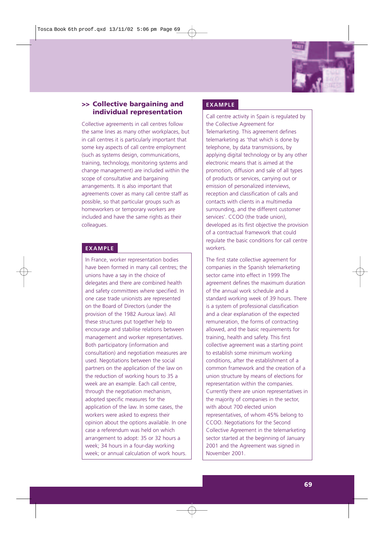

### **>> Collective bargaining and individual representation**

Collective agreements in call centres follow the same lines as many other workplaces, but in call centres it is particularly important that some key aspects of call centre employment (such as systems design, communications, training, technology, monitoring systems and change management) are included within the scope of consultative and bargaining arrangements. It is also important that agreements cover as many call centre staff as possible, so that particular groups such as homeworkers or temporary workers are included and have the same rights as their colleagues.

#### **EXAMPLE**

In France, worker representation bodies have been formed in many call centres; the unions have a say in the choice of delegates and there are combined health and safety committees where specified. In one case trade unionists are represented on the Board of Directors (under the provision of the 1982 Auroux law). All these structures put together help to encourage and stabilise relations between management and worker representatives. Both participatory (information and consultation) and negotiation measures are used. Negotiations between the social partners on the application of the law on the reduction of working hours to 35 a week are an example. Each call centre, through the negotiation mechanism, adopted specific measures for the application of the law. In some cases, the workers were asked to express their opinion about the options available. In one case a referendum was held on which arrangement to adopt: 35 or 32 hours a week; 34 hours in a four-day working week; or annual calculation of work hours.

#### **EXAMPLE**

Call centre activity in Spain is regulated by the Collective Agreement for Telemarketing. This agreement defines telemarketing as 'that which is done by telephone, by data transmissions, by applying digital technology or by any other electronic means that is aimed at the promotion, diffusion and sale of all types of products or services, carrying out or emission of personalized interviews, reception and classification of calls and contacts with clients in a multimedia surrounding, and the different customer services'. CCOO (the trade union), developed as its first objective the provision of a contractual framework that could regulate the basic conditions for call centre workers.

The first state collective agreement for companies in the Spanish telemarketing sector came into effect in 1999.The agreement defines the maximum duration of the annual work schedule and a standard working week of 39 hours. There is a system of professional classification and a clear explanation of the expected remuneration, the forms of contracting allowed, and the basic requirements for training, health and safety. This first collective agreement was a starting point to establish some minimum working conditions, after the establishment of a common framework and the creation of a union structure by means of elections for representation within the companies. Currently there are union representatives in the majority of companies in the sector, with about 700 elected union representatives, of whom 45% belong to CCOO. Negotiations for the Second Collective Agreement in the telemarketing sector started at the beginning of January 2001 and the Agreement was signed in November 2001.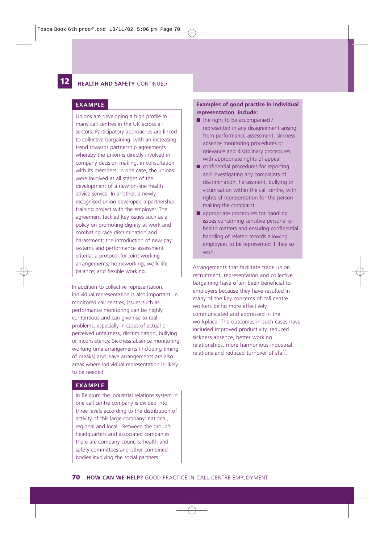# **12 HEALTH AND SAFETY** CONTINUED

#### **EXAMPLE**

Unions are developing a high profile in many call centres in the UK across all sectors. Participatory approaches are linked to collective bargaining, with an increasing trend towards partnership agreements whereby the union is directly involved in company decision making, in consultation with its members. In one case, the unions were involved at all stages of the development of a new on-line health advice service. In another, a newlyrecognised union developed a partnership training project with the employer. The agreement tackled key issues such as a policy on promoting dignity at work and combating race discrimination and harassment; the introduction of new pay systems and performance assessment criteria; a protocol for joint working arrangements; homeworking; work life balance; and flexible working.

In addition to collective representation, individual representation is also important. In monitored call centres, issues such as performance monitoring can be highly contentious and can give rise to real problems, especially in cases of actual or perceived unfairness, discrimination, bullying or inconsistency. Sickness absence monitoring, working time arrangements (including timing of breaks) and leave arrangements are also areas where individual representation is likely to be needed.

#### **EXAMPLE**

In Belgium the industrial relations system in one call centre company is divided into three levels according to the distribution of activity of this large company: national, regional and local. Between the group's headquarters and associated companies there are company councils, health and safety committees and other combined bodies involving the social partners.

#### **Examples of good practice in individual representation include:**

- the right to be accompanied / represented in any disagreement arising from performance assessment, sickness absence monitoring procedures or grievance and disciplinary procedures, with appropriate rights of appeal
- confidential procedures for reporting and investigating any complaints of discrimination, harassment, bullying or victimisation within the call centre, with rights of representation for the person making the complaint
- appropriate procedures for handling issues concerning sensitive personal or health matters and ensuring confidential handling of related records allowing employees to be represented if they so wish.

Arrangements that facilitate trade union recruitment, representation and collective bargaining have often been beneficial to employers because they have resulted in many of the key concerns of call centre workers being more effectively communicated and addressed in the workplace. The outcomes in such cases have included improved productivity, reduced sickness absence, better working relationships, more harmonious industrial relations and reduced turnover of staff.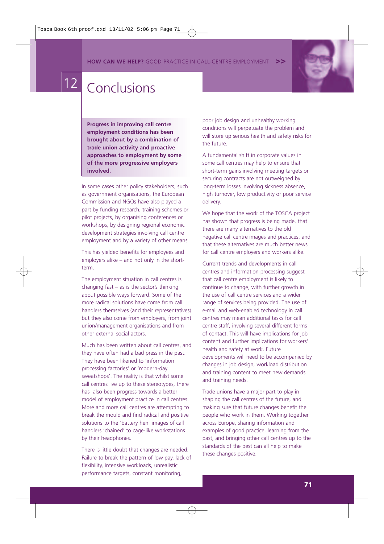**HOW CAN WE HELP?** GOOD PRACTICE IN CALL-CENTRE EMPLOYMENT



# 12 Conclusions

**Progress in improving call centre employment conditions has been brought about by a combination of trade union activity and proactive approaches to employment by some of the more progressive employers involved.** 

In some cases other policy stakeholders, such as government organisations, the European Commission and NGOs have also played a part by funding research, training schemes or pilot projects, by organising conferences or workshops, by designing regional economic development strategies involving call centre employment and by a variety of other means

This has yielded benefits for employees and employers alike – and not only in the shortterm.

The employment situation in call centres is changing fast – as is the sector's thinking about possible ways forward. Some of the more radical solutions have come from call handlers themselves (and their representatives) but they also come from employers, from joint union/management organisations and from other external social actors.

Much has been written about call centres, and they have often had a bad press in the past. They have been likened to 'information processing factories' or 'modern-day sweatshops'. The reality is that whilst some call centres live up to these stereotypes, there has also been progress towards a better model of employment practice in call centres. More and more call centres are attempting to break the mould and find radical and positive solutions to the 'battery hen' images of call handlers 'chained' to cage-like workstations by their headphones.

There is little doubt that changes are needed. Failure to break the pattern of low pay, lack of flexibility, intensive workloads, unrealistic performance targets, constant monitoring,

poor job design and unhealthy working conditions will perpetuate the problem and will store up serious health and safety risks for the future.

A fundamental shift in corporate values in some call centres may help to ensure that short-term gains involving meeting targets or securing contracts are not outweighed by long-term losses involving sickness absence, high turnover, low productivity or poor service delivery.

We hope that the work of the TOSCA project has shown that progress is being made, that there are many alternatives to the old negative call centre images and practices, and that these alternatives are much better news for call centre employers and workers alike.

Current trends and developments in call centres and information processing suggest that call centre employment is likely to continue to change, with further growth in the use of call centre services and a wider range of services being provided. The use of e-mail and web-enabled technology in call centres may mean additional tasks for call centre staff, involving several different forms of contact. This will have implications for job content and further implications for workers' health and safety at work. Future developments will need to be accompanied by changes in job design, workload distribution and training content to meet new demands and training needs.

Trade unions have a major part to play in shaping the call centres of the future, and making sure that future changes benefit the people who work in them. Working together across Europe, sharing information and examples of good practice, learning from the past, and bringing other call centres up to the standards of the best can all help to make these changes positive.